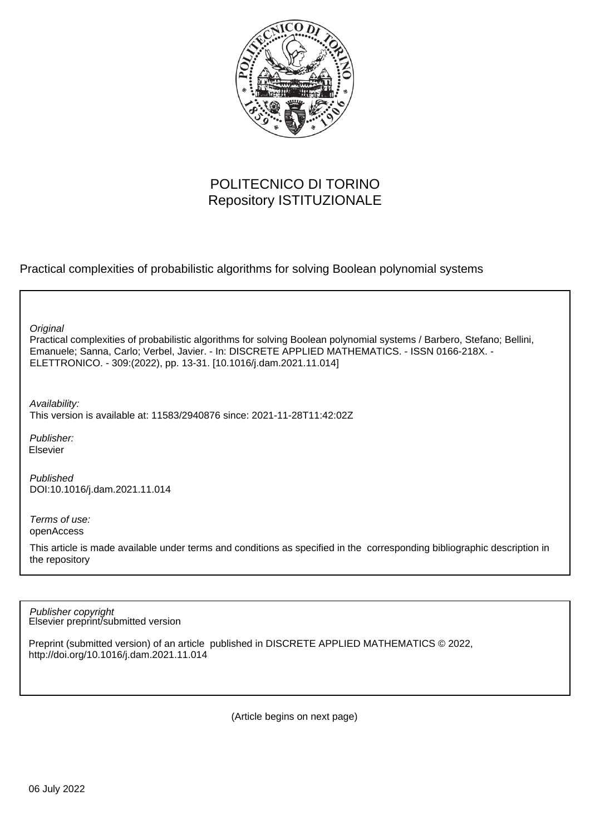

# POLITECNICO DI TORINO Repository ISTITUZIONALE

Practical complexities of probabilistic algorithms for solving Boolean polynomial systems

Practical complexities of probabilistic algorithms for solving Boolean polynomial systems / Barbero, Stefano; Bellini, Emanuele; Sanna, Carlo; Verbel, Javier. - In: DISCRETE APPLIED MATHEMATICS. - ISSN 0166-218X. - ELETTRONICO. - 309:(2022), pp. 13-31. [10.1016/j.dam.2021.11.014] **Original** 

Availability: This version is available at: 11583/2940876 since: 2021-11-28T11:42:02Z

Publisher: Elsevier

Published DOI:10.1016/j.dam.2021.11.014

Terms of use: openAccess

This article is made available under terms and conditions as specified in the corresponding bibliographic description in the repository

Elsevier preprint/submitted version Publisher copyright

Preprint (submitted version) of an article published in DISCRETE APPLIED MATHEMATICS © 2022, http://doi.org/10.1016/j.dam.2021.11.014

(Article begins on next page)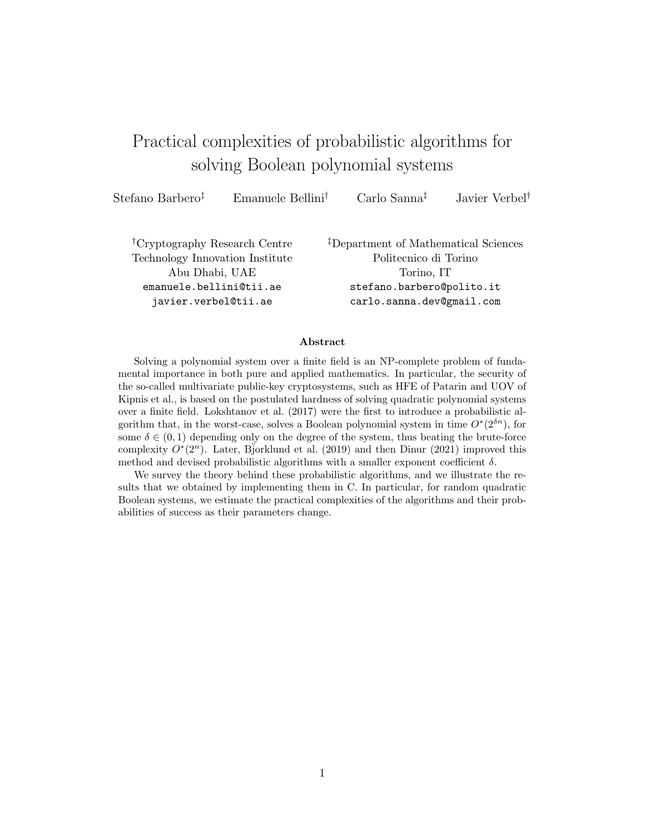# Practical complexities of probabilistic algorithms for solving Boolean polynomial systems

Stefano Barbero‡ Emanuele Bellini† Carlo Sanna‡ Javier Verbel†

†Cryptography Research Centre Technology Innovation Institute Abu Dhabi, UAE emanuele.bellini@tii.ae javier.verbel@tii.ae

‡Department of Mathematical Sciences Politecnico di Torino Torino, IT stefano.barbero@polito.it carlo.sanna.dev@gmail.com

#### Abstract

Solving a polynomial system over a finite field is an NP-complete problem of fundamental importance in both pure and applied mathematics. In particular, the security of the so-called multivariate public-key cryptosystems, such as HFE of Patarin and UOV of Kipnis et al., is based on the postulated hardness of solving quadratic polynomial systems over a finite field. Lokshtanov et al. (2017) were the first to introduce a probabilistic algorithm that, in the worst-case, solves a Boolean polynomial system in time  $O^*(2^{\delta n})$ , for some  $\delta \in (0,1)$  depending only on the degree of the system, thus beating the brute-force complexity  $O^*(2^n)$ . Later, Bjorklund et al. (2019) and then Dinur (2021) improved this method and devised probabilistic algorithms with a smaller exponent coefficient  $\delta$ .

We survey the theory behind these probabilistic algorithms, and we illustrate the results that we obtained by implementing them in C. In particular, for random quadratic Boolean systems, we estimate the practical complexities of the algorithms and their probabilities of success as their parameters change.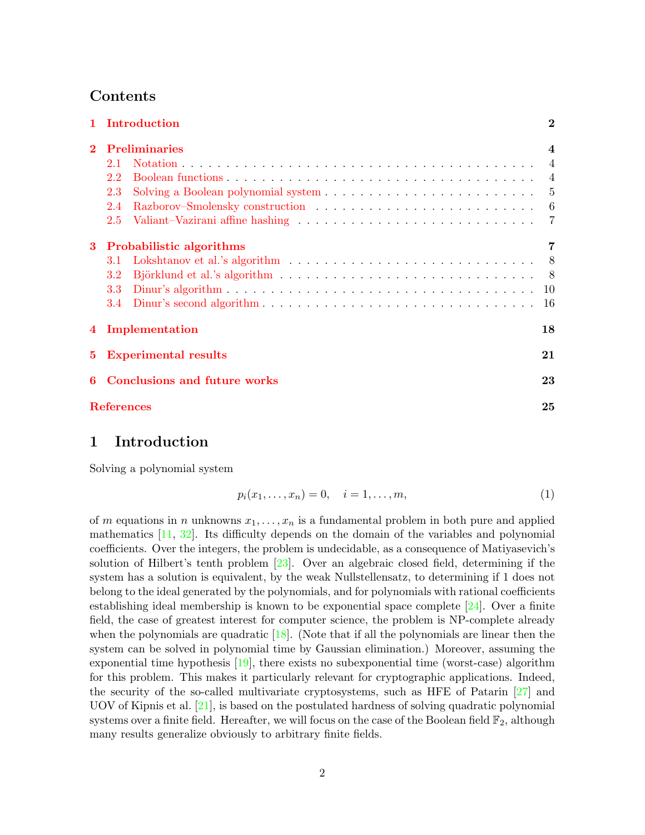# Contents

|                                          | 1 Introduction              | $\bf{2}$ |  |  |  |  |  |  |  |  |  |
|------------------------------------------|-----------------------------|----------|--|--|--|--|--|--|--|--|--|
| $\mathbf{2}$                             | <b>Preliminaries</b>        |          |  |  |  |  |  |  |  |  |  |
|                                          | 2.1                         |          |  |  |  |  |  |  |  |  |  |
|                                          | 2.2                         |          |  |  |  |  |  |  |  |  |  |
|                                          | 2.3                         |          |  |  |  |  |  |  |  |  |  |
|                                          | 2.4                         |          |  |  |  |  |  |  |  |  |  |
|                                          | 2.5                         |          |  |  |  |  |  |  |  |  |  |
| 3                                        | Probabilistic algorithms    | 7        |  |  |  |  |  |  |  |  |  |
|                                          | 3.1                         |          |  |  |  |  |  |  |  |  |  |
|                                          | 3.2                         |          |  |  |  |  |  |  |  |  |  |
|                                          | 3.3                         |          |  |  |  |  |  |  |  |  |  |
|                                          |                             |          |  |  |  |  |  |  |  |  |  |
|                                          | 4 Implementation            | 18       |  |  |  |  |  |  |  |  |  |
| 5.                                       | <b>Experimental results</b> | 21       |  |  |  |  |  |  |  |  |  |
| <b>Conclusions and future works</b><br>6 |                             |          |  |  |  |  |  |  |  |  |  |
|                                          | <b>References</b>           | 25       |  |  |  |  |  |  |  |  |  |
|                                          |                             |          |  |  |  |  |  |  |  |  |  |

# 1 Introduction

Solving a polynomial system

$$
p_i(x_1, \dots, x_n) = 0, \quad i = 1, \dots, m,
$$
\n(1)

of m equations in n unknowns  $x_1, \ldots, x_n$  is a fundamental problem in both pure and applied mathematics  $[11, 32]$ . Its difficulty depends on the domain of the variables and polynomial coefficients. Over the integers, the problem is undecidable, as a consequence of Matiyasevich's solution of Hilbert's tenth problem [23]. Over an algebraic closed field, determining if the system has a solution is equivalent, by the weak Nullstellensatz, to determining if 1 does not belong to the ideal generated by the polynomials, and for polynomials with rational coefficients establishing ideal membership is known to be exponential space complete  $[24]$ . Over a finite field, the case of greatest interest for computer science, the problem is NP-complete already when the polynomials are quadratic  $[18]$ . (Note that if all the polynomials are linear then the system can be solved in polynomial time by Gaussian elimination.) Moreover, assuming the exponential time hypothesis  $[19]$ , there exists no subexponential time (worst-case) algorithm for this problem. This makes it particularly relevant for cryptographic applications. Indeed, the security of the so-called multivariate cryptosystems, such as HFE of Patarin [27] and UOV of Kipnis et al. [21], is based on the postulated hardness of solving quadratic polynomial systems over a finite field. Hereafter, we will focus on the case of the Boolean field  $\mathbb{F}_2$ , although many results generalize obviously to arbitrary finite fields.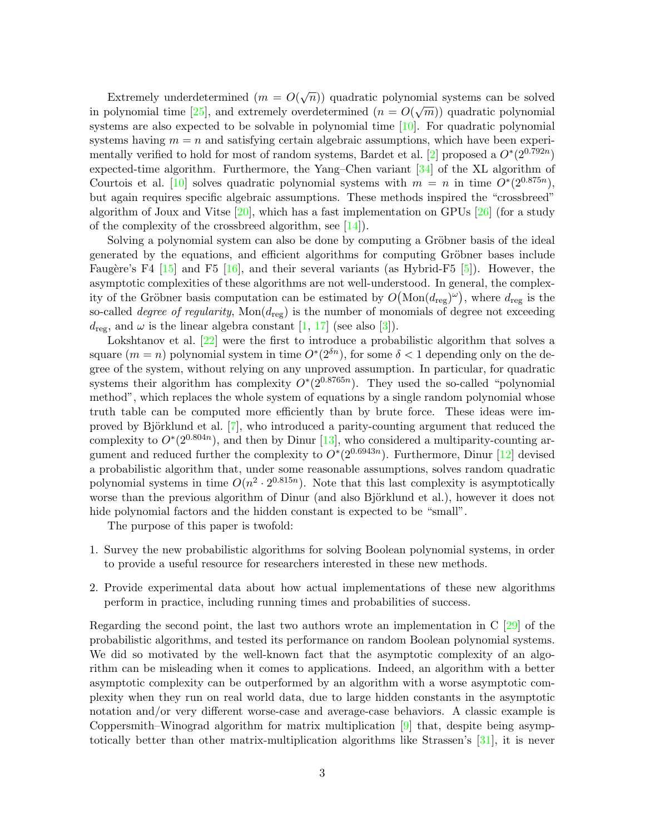Extremely underdetermined  $(m = O(\sqrt{n}))$  quadratic polynomial systems can be solved in polynomial time [25], and extremely overdetermined  $(n = O(\sqrt{m}))$  quadratic polynomial systems are also expected to be solvable in polynomial time  $[10]$ . For quadratic polynomial systems having  $m = n$  and satisfying certain algebraic assumptions, which have been experimentally verified to hold for most of random systems, Bardet et al. [2] proposed a  $O^*(2^{0.792n})$ expected-time algorithm. Furthermore, the Yang–Chen variant [34] of the XL algorithm of Courtois et al. [10] solves quadratic polynomial systems with  $m = n$  in time  $O<sup>*</sup>(2<sup>0.875n</sup>)$ , but again requires specific algebraic assumptions. These methods inspired the "crossbreed" algorithm of Joux and Vitse  $[20]$ , which has a fast implementation on GPUs  $[26]$  (for a study of the complexity of the crossbreed algorithm, see  $[14]$ .

Solving a polynomial system can also be done by computing a Gröbner basis of the ideal generated by the equations, and efficient algorithms for computing Gröbner bases include Faugère's F4  $\left[15\right]$  and F5  $\left[16\right]$ , and their several variants (as Hybrid-F5  $\left[5\right]$ ). However, the asymptotic complexities of these algorithms are not well-understood. In general, the complexity of the Gröbner basis computation can be estimated by  $O(Mon(d_{reg})^{\omega})$ , where  $d_{reg}$  is the so-called *degree of regularity*,  $Mon(d_{reg})$  is the number of monomials of degree not exceeding  $d_{\text{reg}}$ , and  $\omega$  is the linear algebra constant [1, 17] (see also [3]).

Lokshtanov et al. [22] were the first to introduce a probabilistic algorithm that solves a square  $(m = n)$  polynomial system in time  $O<sup>*</sup>(2<sup>6n</sup>)$ , for some  $\delta < 1$  depending only on the degree of the system, without relying on any unproved assumption. In particular, for quadratic systems their algorithm has complexity  $O^*(2^{0.8765n})$ . They used the so-called "polynomial" method", which replaces the whole system of equations by a single random polynomial whose truth table can be computed more efficiently than by brute force. These ideas were improved by Björklund et al.  $[7]$ , who introduced a parity-counting argument that reduced the complexity to  $O^*(2^{0.804n})$ , and then by Dinur [13], who considered a multiparity-counting argument and reduced further the complexity to  $O^*(2^{0.6943n})$ . Furthermore, Dinur [12] devised a probabilistic algorithm that, under some reasonable assumptions, solves random quadratic polynomial systems in time  $O(n^2 \cdot 2^{0.815n})$ . Note that this last complexity is asymptotically worse than the previous algorithm of Dinur (and also Björklund et al.), however it does not hide polynomial factors and the hidden constant is expected to be "small".

The purpose of this paper is twofold:

- 1. Survey the new probabilistic algorithms for solving Boolean polynomial systems, in order to provide a useful resource for researchers interested in these new methods.
- 2. Provide experimental data about how actual implementations of these new algorithms perform in practice, including running times and probabilities of success.

Regarding the second point, the last two authors wrote an implementation in C [29] of the probabilistic algorithms, and tested its performance on random Boolean polynomial systems. We did so motivated by the well-known fact that the asymptotic complexity of an algorithm can be misleading when it comes to applications. Indeed, an algorithm with a better asymptotic complexity can be outperformed by an algorithm with a worse asymptotic complexity when they run on real world data, due to large hidden constants in the asymptotic notation and/or very different worse-case and average-case behaviors. A classic example is Coppersmith–Winograd algorithm for matrix multiplication [9] that, despite being asymptotically better than other matrix-multiplication algorithms like Strassen's [31], it is never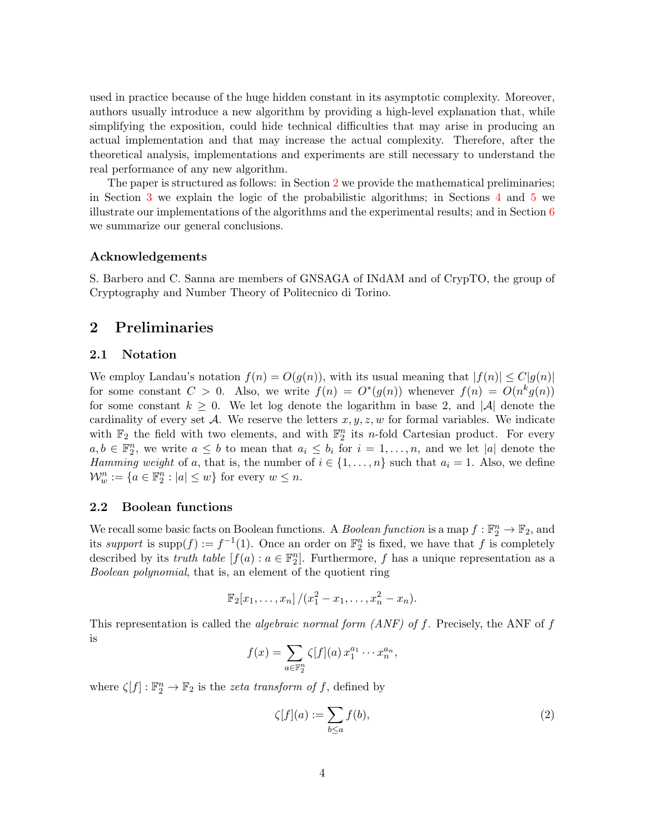used in practice because of the huge hidden constant in its asymptotic complexity. Moreover, authors usually introduce a new algorithm by providing a high-level explanation that, while simplifying the exposition, could hide technical difficulties that may arise in producing an actual implementation and that may increase the actual complexity. Therefore, after the theoretical analysis, implementations and experiments are still necessary to understand the real performance of any new algorithm.

The paper is structured as follows: in Section 2 we provide the mathematical preliminaries; in Section 3 we explain the logic of the probabilistic algorithms; in Sections 4 and 5 we illustrate our implementations of the algorithms and the experimental results; and in Section 6 we summarize our general conclusions.

#### Acknowledgements

S. Barbero and C. Sanna are members of GNSAGA of INdAM and of CrypTO, the group of Cryptography and Number Theory of Politecnico di Torino.

# 2 Preliminaries

#### 2.1 Notation

We employ Landau's notation  $f(n) = O(g(n))$ , with its usual meaning that  $|f(n)| \leq C|g(n)|$ for some constant  $C > 0$ . Also, we write  $f(n) = O^*(g(n))$  whenever  $f(n) = O(n^k g(n))$ for some constant  $k \geq 0$ . We let log denote the logarithm in base 2, and |A| denote the cardinality of every set A. We reserve the letters  $x, y, z, w$  for formal variables. We indicate with  $\mathbb{F}_2$  the field with two elements, and with  $\mathbb{F}_2^n$  its *n*-fold Cartesian product. For every  $a, b \in \mathbb{F}_2^n$ , we write  $a \leq b$  to mean that  $a_i \leq b_i$  for  $i = 1, \ldots, n$ , and we let |a| denote the Hamming weight of a, that is, the number of  $i \in \{1, \ldots, n\}$  such that  $a_i = 1$ . Also, we define  $\mathcal{W}_w^n := \{a \in \mathbb{F}_2^n : |a| \leq w\}$  for every  $w \leq n$ .

#### 2.2 Boolean functions

We recall some basic facts on Boolean functions. A *Boolean function* is a map  $f : \mathbb{F}_2^n \to \mathbb{F}_2$ , and its support is supp $(f) := f^{-1}(1)$ . Once an order on  $\mathbb{F}_2^n$  is fixed, we have that f is completely described by its *truth table*  $[f(a) : a \in \mathbb{F}_2^n]$ . Furthermore, f has a unique representation as a Boolean polynomial, that is, an element of the quotient ring

$$
\mathbb{F}_2[x_1,\ldots,x_n]/(x_1^2-x_1,\ldots,x_n^2-x_n).
$$

This representation is called the *algebraic normal form (ANF) of f*. Precisely, the ANF of f is

$$
f(x) = \sum_{a \in \mathbb{F}_2^n} \zeta[f](a) x_1^{a_1} \cdots x_n^{a_n},
$$

where  $\zeta[f]: \mathbb{F}_2^n \to \mathbb{F}_2$  is the *zeta transform of f*, defined by

$$
\zeta[f](a) := \sum_{b \le a} f(b),\tag{2}
$$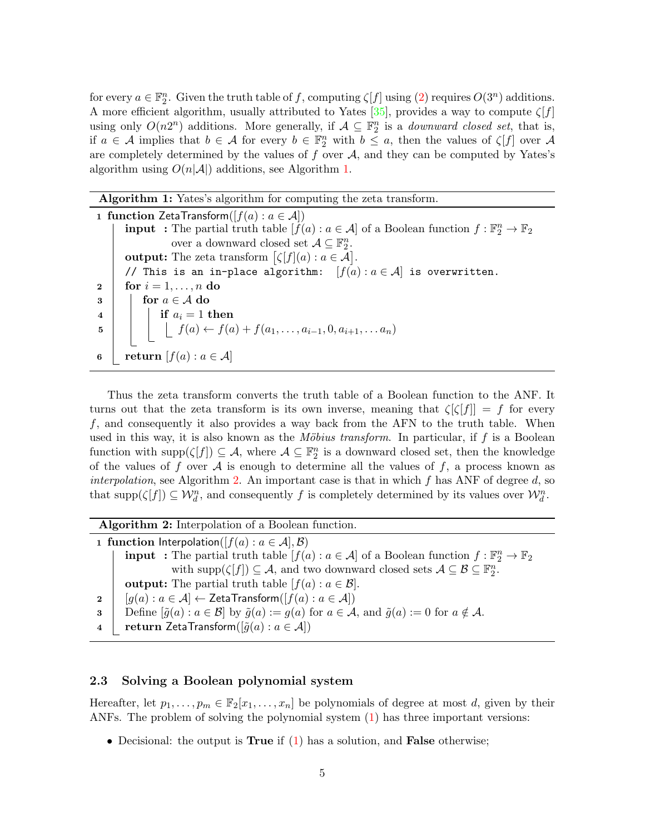for every  $a \in \mathbb{F}_2^n$ . Given the truth table of f, computing  $\zeta[f]$  using  $(2)$  requires  $O(3^n)$  additions. A more efficient algorithm, usually attributed to Yates  $[35]$ , provides a way to compute  $\zeta[f]$ using only  $O(n2^n)$  additions. More generally, if  $A \subseteq \mathbb{F}_2^n$  is a *downward closed set*, that is, if  $a \in \mathcal{A}$  implies that  $b \in \mathcal{A}$  for every  $b \in \mathbb{F}_2^n$  with  $b \leq a$ , then the values of  $\zeta[f]$  over  $\mathcal{A}$ are completely determined by the values of f over  $A$ , and they can be computed by Yates's algorithm using  $O(n|\mathcal{A}|)$  additions, see Algorithm 1.

### Algorithm 1: Yates's algorithm for computing the zeta transform.

1 function ZetaTransform( $[f(a): a \in \mathcal{A}]$ ) **input** : The partial truth table  $[f(a): a \in \mathcal{A}]$  of a Boolean function  $f: \mathbb{F}_2^n \to \mathbb{F}_2$ over a downward closed set  $\mathcal{A} \subseteq \mathbb{F}_2^n$ . **output:** The zeta transform  $\lbrack \zeta \lbrack f](a):a\in \mathcal{A}\rbrack$ . // This is an in-place algorithm:  $[f(a) : a \in \mathcal{A}]$  is overwritten. 2 | for  $i = 1, \ldots, n$  do  $\mathbf{3}$  for  $a \in \mathcal{A}$  do  $\begin{array}{c|c} \hline \textbf{4} & \textbf{1} \end{array}$  if  $a_i = 1$  then 5 | |  $f(a) \leftarrow f(a) + f(a_1, \ldots, a_{i-1}, 0, a_{i+1}, \ldots, a_n)$ 6 | return  $[f(a): a \in \mathcal{A}]$ 

Thus the zeta transform converts the truth table of a Boolean function to the ANF. It turns out that the zeta transform is its own inverse, meaning that  $\zeta[\zeta|f] = f$  for every f, and consequently it also provides a way back from the AFN to the truth table. When used in this way, it is also known as the *Möbius transform*. In particular, if  $f$  is a Boolean function with  $\text{supp}(\zeta[f]) \subseteq \mathcal{A}$ , where  $\mathcal{A} \subseteq \mathbb{F}_2^n$  is a downward closed set, then the knowledge of the values of f over A is enough to determine all the values of f, a process known as interpolation, see Algorithm 2. An important case is that in which  $f$  has ANF of degree  $d$ , so that  $\text{supp}(\zeta[f]) \subseteq \mathcal{W}_d^n$ , and consequently f is completely determined by its values over  $\mathcal{W}_d^n$ .

Algorithm 2: Interpolation of a Boolean function.

1 function Interpolation( $[f(a): a \in \mathcal{A}], \mathcal{B}$ ) **input** : The partial truth table  $[f(a): a \in \mathcal{A}]$  of a Boolean function  $f: \mathbb{F}_2^n \to \mathbb{F}_2$ with  $\text{supp}(\zeta[f]) \subseteq \mathcal{A}$ , and two downward closed sets  $\mathcal{A} \subseteq \mathcal{B} \subseteq \mathbb{F}_2^n$ . **output:** The partial truth table  $[f(a): a \in \mathcal{B}]$ . 2  $[g(a) : a \in \mathcal{A}] \leftarrow$  ZetaTransform $([f(a) : a \in \mathcal{A}])$ 3 Define  $[\tilde{g}(a): a \in \mathcal{B}]$  by  $\tilde{g}(a) := g(a)$  for  $a \in \mathcal{A}$ , and  $\tilde{g}(a) := 0$  for  $a \notin \mathcal{A}$ . 4  $\vert$  return ZetaTransform( $[\tilde{g}(a): a \in \mathcal{A}]$ )

#### 2.3 Solving a Boolean polynomial system

Hereafter, let  $p_1, \ldots, p_m \in \mathbb{F}_2[x_1, \ldots, x_n]$  be polynomials of degree at most d, given by their ANFs. The problem of solving the polynomial system (1) has three important versions:

• Decisional: the output is **True** if  $(1)$  has a solution, and **False** otherwise;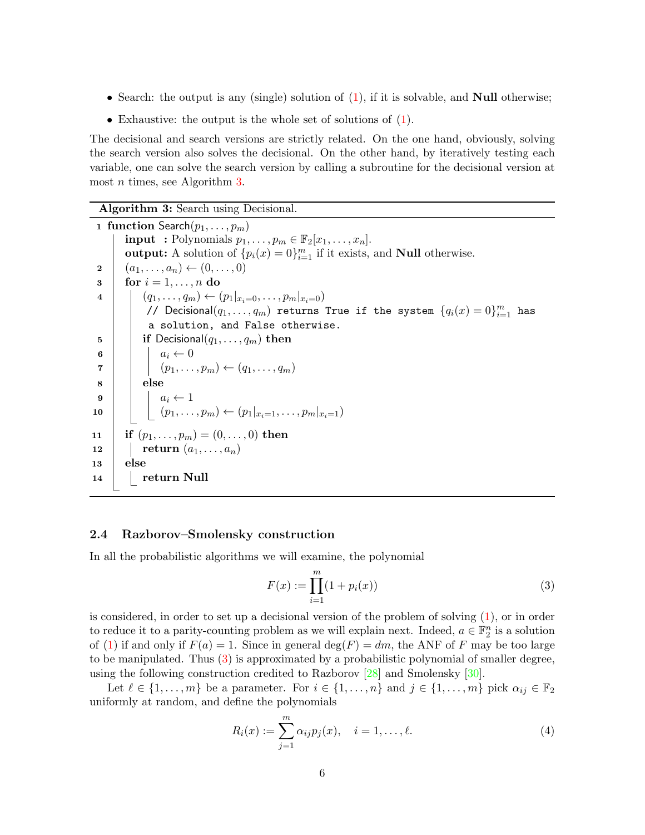- Search: the output is any (single) solution of  $(1)$ , if it is solvable, and **Null** otherwise;
- Exhaustive: the output is the whole set of solutions of (1).

The decisional and search versions are strictly related. On the one hand, obviously, solving the search version also solves the decisional. On the other hand, by iteratively testing each variable, one can solve the search version by calling a subroutine for the decisional version at most *n* times, see Algorithm 3.

Algorithm 3: Search using Decisional.

1 function Search $(p_1, \ldots, p_m)$ **input** : Polynomials  $p_1, \ldots, p_m \in \mathbb{F}_2[x_1, \ldots, x_n].$ output: A solution of  $\{p_i(x) = 0\}_{i=1}^m$  if it exists, and **Null** otherwise.  $2 \mid (a_1, \ldots, a_n) \leftarrow (0, \ldots, 0)$  $3 \mid \text{for } i = 1, \ldots, n \text{ do}$ 4  $(q_1, \ldots, q_m) \leftarrow (p_1 |_{x_i=0}, \ldots, p_m |_{x_i=0})$ //  $\mathsf{Decisional}(q_1, \ldots, q_m)$  returns True if the system  $\{q_i(x) = 0\}_{i=1}^m$  has a solution, and False otherwise.  $\mathbf{5}$  | if Decisional $(q_1, \ldots, q_m)$  then 6 |  $a_i \leftarrow 0$  $\tau \mid \mid \mid (p_1, \ldots, p_m) \leftarrow (q_1, \ldots, q_m)$  $8$  | else 9  $\vert \vert$   $a_i \leftarrow 1$ 10  $\vert \vert \vert (p_1, \ldots, p_m) \leftarrow (p_1 |_{x_i=1}, \ldots, p_m |_{x_i=1})$ 11 **if**  $(p_1, \ldots, p_m) = (0, \ldots, 0)$  then 12 **return**  $(a_1, \ldots, a_n)$ 13 else 14 | return Null

#### 2.4 Razborov–Smolensky construction

In all the probabilistic algorithms we will examine, the polynomial

$$
F(x) := \prod_{i=1}^{m} (1 + p_i(x))
$$
\n(3)

is considered, in order to set up a decisional version of the problem of solving (1), or in order to reduce it to a parity-counting problem as we will explain next. Indeed,  $a \in \mathbb{F}_2^n$  is a solution of (1) if and only if  $F(a) = 1$ . Since in general  $deg(F) = dm$ , the ANF of F may be too large to be manipulated. Thus  $(3)$  is approximated by a probabilistic polynomial of smaller degree, using the following construction credited to Razborov [28] and Smolensky [30].

Let  $\ell \in \{1, \ldots, m\}$  be a parameter. For  $i \in \{1, \ldots, n\}$  and  $j \in \{1, \ldots, m\}$  pick  $\alpha_{ij} \in \mathbb{F}_2$ uniformly at random, and define the polynomials

$$
R_i(x) := \sum_{j=1}^{m} \alpha_{ij} p_j(x), \quad i = 1, \dots, \ell.
$$
 (4)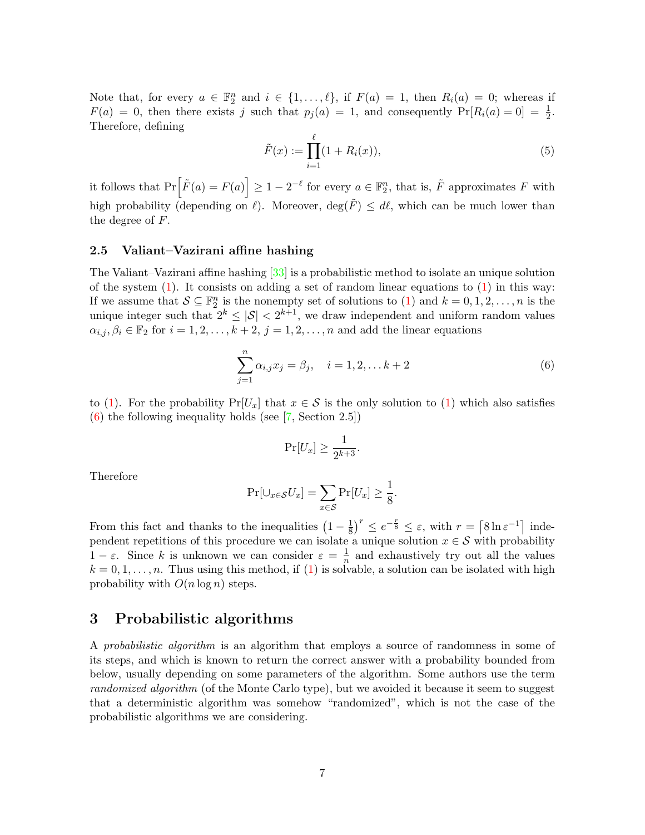Note that, for every  $a \in \mathbb{F}_2^n$  and  $i \in \{1, ..., \ell\}$ , if  $F(a) = 1$ , then  $R_i(a) = 0$ ; whereas if  $F(a) = 0$ , then there exists j such that  $p_j(a) = 1$ , and consequently  $Pr[R_i(a) = 0] = \frac{1}{2}$ . Therefore, defining

$$
\tilde{F}(x) := \prod_{i=1}^{\ell} (1 + R_i(x)),\tag{5}
$$

it follows that  $Pr\left[\tilde{F}(a) = F(a)\right] \geq 1 - 2^{-\ell}$  for every  $a \in \mathbb{F}_2^n$ , that is,  $\tilde{F}$  approximates F with high probability (depending on  $\ell$ ). Moreover, deg( $\tilde{F}$ )  $\leq d\ell$ , which can be much lower than the degree of  $F$ .

#### 2.5 Valiant–Vazirani affine hashing

The Valiant–Vazirani affine hashing [33] is a probabilistic method to isolate an unique solution of the system  $(1)$ . It consists on adding a set of random linear equations to  $(1)$  in this way: If we assume that  $S \subseteq \mathbb{F}_2^n$  is the nonempty set of solutions to (1) and  $k = 0, 1, 2, \ldots, n$  is the unique integer such that  $2^k \leq |\mathcal{S}| < 2^{k+1}$ , we draw independent and uniform random values  $\alpha_{i,j}, \beta_i \in \mathbb{F}_2$  for  $i = 1, 2, \ldots, k + 2, j = 1, 2, \ldots, n$  and add the linear equations

$$
\sum_{j=1}^{n} \alpha_{i,j} x_j = \beta_j, \quad i = 1, 2, \dots k + 2
$$
 (6)

to (1). For the probability  $Pr[U_x]$  that  $x \in S$  is the only solution to (1) which also satisfies (6) the following inequality holds (see [7, Section 2.5])

$$
\Pr[U_x] \ge \frac{1}{2^{k+3}}.
$$

Therefore

$$
\Pr[\cup_{x \in \mathcal{S}} U_x] = \sum_{x \in \mathcal{S}} \Pr[U_x] \ge \frac{1}{8}.
$$

From this fact and thanks to the inequalities  $(1 - \frac{1}{8})$  $\frac{1}{8}$ )<sup>r</sup>  $\leq e^{-\frac{r}{8}} \leq \varepsilon$ , with  $r = \lceil 8 \ln \varepsilon^{-1} \rceil$  independent repetitions of this procedure we can isolate a unique solution  $x \in \mathcal{S}$  with probability  $1 - \varepsilon$ . Since k is unknown we can consider  $\varepsilon = \frac{1}{n}$  $\frac{1}{n}$  and exhaustively try out all the values  $k = 0, 1, \ldots, n$ . Thus using this method, if (1) is solvable, a solution can be isolated with high probability with  $O(n \log n)$  steps.

### 3 Probabilistic algorithms

A probabilistic algorithm is an algorithm that employs a source of randomness in some of its steps, and which is known to return the correct answer with a probability bounded from below, usually depending on some parameters of the algorithm. Some authors use the term randomized algorithm (of the Monte Carlo type), but we avoided it because it seem to suggest that a deterministic algorithm was somehow "randomized", which is not the case of the probabilistic algorithms we are considering.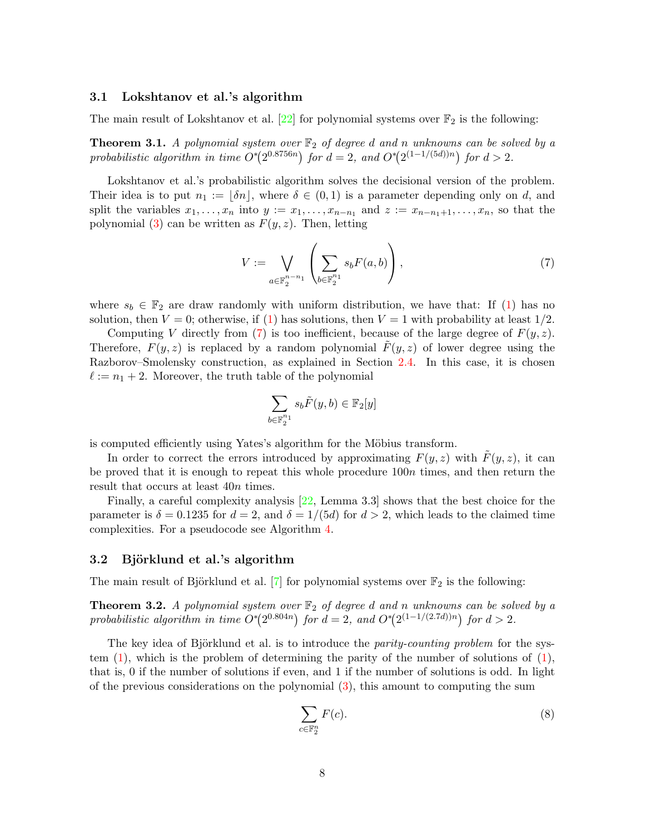#### 3.1 Lokshtanov et al.'s algorithm

The main result of Lokshtanov et al. [22] for polynomial systems over  $\mathbb{F}_2$  is the following:

**Theorem 3.1.** A polynomial system over  $\mathbb{F}_2$  of degree d and n unknowns can be solved by a probabilistic algorithm in time  $O<sup>*</sup>(2<sup>0.8756n</sup>)$  for  $d = 2$ , and  $O<sup>*</sup>(2<sup>(1-1/(5d))n</sup>)$  for  $d > 2$ .

Lokshtanov et al.'s probabilistic algorithm solves the decisional version of the problem. Their idea is to put  $n_1 := [\delta n]$ , where  $\delta \in (0,1)$  is a parameter depending only on d, and split the variables  $x_1, \ldots, x_n$  into  $y := x_1, \ldots, x_{n-n_1}$  and  $z := x_{n-n_1+1}, \ldots, x_n$ , so that the polynomial (3) can be written as  $F(y, z)$ . Then, letting

$$
V := \bigvee_{a \in \mathbb{F}_2^{n-n_1}} \left( \sum_{b \in \mathbb{F}_2^{n_1}} s_b F(a, b) \right), \tag{7}
$$

where  $s_b \in \mathbb{F}_2$  are draw randomly with uniform distribution, we have that: If (1) has no solution, then  $V = 0$ ; otherwise, if (1) has solutions, then  $V = 1$  with probability at least  $1/2$ .

Computing V directly from (7) is too inefficient, because of the large degree of  $F(y, z)$ . Therefore,  $F(y, z)$  is replaced by a random polynomial  $F(y, z)$  of lower degree using the Razborov–Smolensky construction, as explained in Section 2.4. In this case, it is chosen  $\ell := n_1 + 2$ . Moreover, the truth table of the polynomial

$$
\sum_{b \in \mathbb{F}_2^{n_1}} s_b \tilde{F}(y, b) \in \mathbb{F}_2[y]
$$

is computed efficiently using Yates's algorithm for the Möbius transform.

In order to correct the errors introduced by approximating  $F(y, z)$  with  $F(y, z)$ , it can be proved that it is enough to repeat this whole procedure 100n times, and then return the result that occurs at least 40n times.

Finally, a careful complexity analysis [22, Lemma 3.3] shows that the best choice for the parameter is  $\delta = 0.1235$  for  $d = 2$ , and  $\delta = 1/(5d)$  for  $d > 2$ , which leads to the claimed time complexities. For a pseudocode see Algorithm 4.

#### 3.2 Björklund et al.'s algorithm

The main result of Björklund et al. [7] for polynomial systems over  $\mathbb{F}_2$  is the following:

**Theorem 3.2.** A polynomial system over  $\mathbb{F}_2$  of degree d and n unknowns can be solved by a probabilistic algorithm in time  $O^*(2^{0.804n})$  for  $d = 2$ , and  $O^*(2^{(1-1/(2.7d))n})$  for  $d > 2$ .

The key idea of Björklund et al. is to introduce the *parity-counting problem* for the system (1), which is the problem of determining the parity of the number of solutions of (1), that is, 0 if the number of solutions if even, and 1 if the number of solutions is odd. In light of the previous considerations on the polynomial (3), this amount to computing the sum

$$
\sum_{c \in \mathbb{F}_2^n} F(c). \tag{8}
$$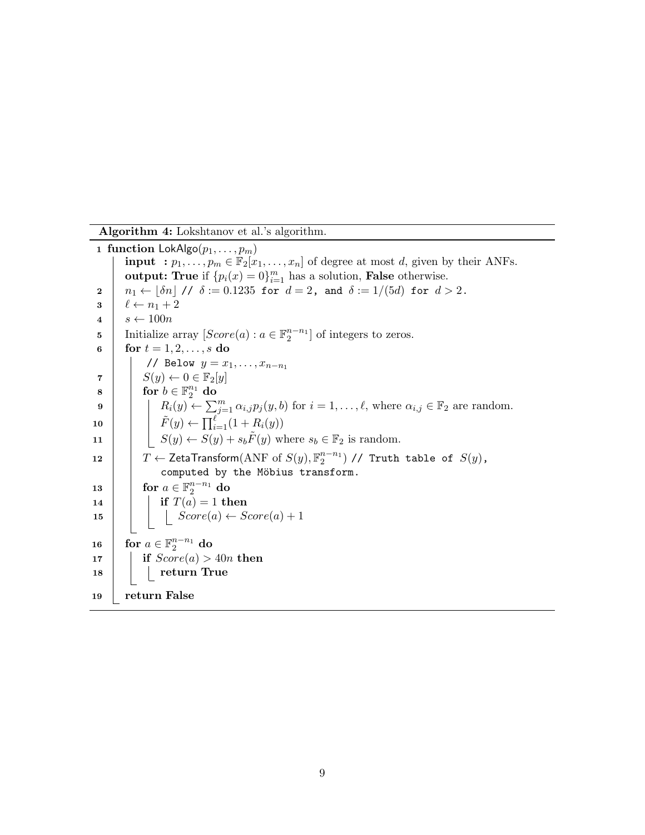Algorithm 4: Lokshtanov et al.'s algorithm.

1 function  $\textsf{LokAlgo}(p_1, \ldots, p_m)$ **input** :  $p_1, \ldots, p_m \in \mathbb{F}_2[x_1, \ldots, x_n]$  of degree at most d, given by their ANFs. output: True if  $\{p_i(x) = 0\}_{i=1}^m$  has a solution, False otherwise.  $2 \mid n_1 \leftarrow |\delta n| / \sqrt{\delta} := 0.1235$  for  $d = 2$ , and  $\delta := 1/(5d)$  for  $d > 2$ .  $\mathbf{3} \mid \ell \leftarrow n_1 + 2$  $4 \mid s \leftarrow 100n$ 5 Initialize array  $[Score(a): a \in \mathbb{F}_2^{n-n_1}]$  of integers to zeros. 6 | for  $t = 1, 2, ..., s$  do // Below  $y = x_1, \ldots, x_{n-n_1}$  $\mathbf{7}$  |  $S(y) \leftarrow 0 \in \mathbb{F}_2[y]$  $\begin{array}{|c|c|c|}\hline \textbf{8} & \textbf{for} \,\, b\in \mathbb{F}_2^{n_1} \textbf{ do} \ \hline \end{array}$ 9  $\begin{array}{|c|c|c|c|c|}\n\hline\n9 & R_i(y) \leftarrow \sum_{j=1}^m \alpha_{i,j} p_j(y, b) \text{ for } i = 1, \ldots, \ell, \text{ where } \alpha_{i,j} \in \mathbb{F}_2 \text{ are random.}\n\end{array}$ 10  $\left| \left| \right| \left| \right| \tilde{F}(y) \leftarrow \prod_{i=1}^{\ell} (1 + R_i(y))$ 11  $\vert$   $S(y) \leftarrow S(y) + s_b \tilde{F}(y)$  where  $s_b \in \mathbb{F}_2$  is random. 12  $\begin{array}{|l|} \hline \end{array}$   $T \leftarrow$  ZetaTransform $(\text{ANF of } S(y), \mathbb{F}_2^{n-n_1})$  // Truth table of  $S(y)$ , computed by the Möbius transform.  $\begin{array}{|c|c|} \hline \textbf{13} & \textbf{for} \,\, a \in \mathbb{F}_2^{n-n_1} \textbf{ do} \ \hline \end{array}$ 14 **if**  $T(a) = 1$  then 15  $| \cdot |$  Score(a) ← Score(a) + 1 16 for  $a \in \mathbb{F}_2^{n-n_1}$  do 17 if  $Score(a) > 40n$  then  $18$  | | | return True 19 return False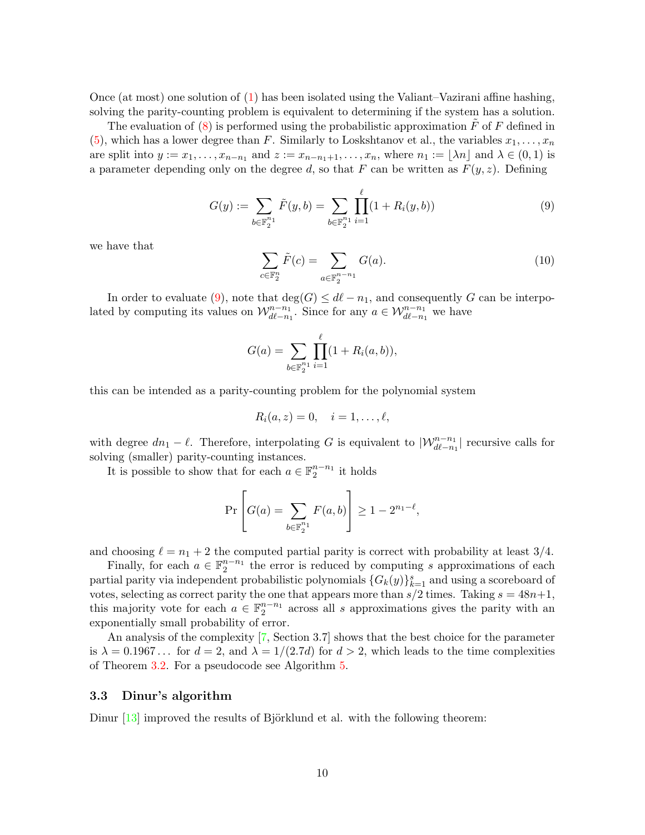Once (at most) one solution of (1) has been isolated using the Valiant–Vazirani affine hashing, solving the parity-counting problem is equivalent to determining if the system has a solution.

The evaluation of  $(8)$  is performed using the probabilistic approximation F of F defined in (5), which has a lower degree than F. Similarly to Loskshtanov et al., the variables  $x_1, \ldots, x_n$ are split into  $y := x_1, \ldots, x_{n-n_1}$  and  $z := x_{n-n_1+1}, \ldots, x_n$ , where  $n_1 := \lfloor \lambda n \rfloor$  and  $\lambda \in (0,1)$  is a parameter depending only on the degree d, so that F can be written as  $F(y, z)$ . Defining

$$
G(y) := \sum_{b \in \mathbb{F}_2^{n_1}} \tilde{F}(y, b) = \sum_{b \in \mathbb{F}_2^{n_1}} \prod_{i=1}^{\ell} (1 + R_i(y, b)) \tag{9}
$$

we have that

$$
\sum_{c \in \mathbb{F}_2^n} \tilde{F}(c) = \sum_{a \in \mathbb{F}_2^{n-n_1}} G(a). \tag{10}
$$

In order to evaluate (9), note that  $\deg(G) \leq d\ell - n_1$ , and consequently G can be interpolated by computing its values on  $\mathcal{W}_{d\ell-n_1}^{n-n_1}$ . Since for any  $a \in \mathcal{W}_{d\ell-n_1}^{n-n_1}$  we have

$$
G(a) = \sum_{b \in \mathbb{F}_2^{n_1}} \prod_{i=1}^{\ell} (1 + R_i(a, b)),
$$

this can be intended as a parity-counting problem for the polynomial system

$$
R_i(a,z)=0, \quad i=1,\ldots,\ell,
$$

with degree  $dn_1 - \ell$ . Therefore, interpolating G is equivalent to  $|\mathcal{W}_{d\ell-n_1}^{n-n_1}|$  recursive calls for solving (smaller) parity-counting instances.

It is possible to show that for each  $a \in \mathbb{F}_2^{n-n_1}$  it holds

$$
\Pr\left[G(a) = \sum_{b \in \mathbb{F}_2^{n_1}} F(a, b)\right] \ge 1 - 2^{n_1 - \ell},
$$

and choosing  $\ell = n_1 + 2$  the computed partial parity is correct with probability at least 3/4.

Finally, for each  $a \in \mathbb{F}_2^{n-n_1}$  the error is reduced by computing s approximations of each partial parity via independent probabilistic polynomials  $\{G_k(y)\}_{k=1}^s$  and using a scoreboard of votes, selecting as correct parity the one that appears more than  $s/2$  times. Taking  $s = 48n+1$ , this majority vote for each  $a \in \mathbb{F}_2^{n-n_1}$  across all s approximations gives the parity with an exponentially small probability of error.

An analysis of the complexity [7, Section 3.7] shows that the best choice for the parameter is  $\lambda = 0.1967...$  for  $d = 2$ , and  $\lambda = 1/(2.7d)$  for  $d > 2$ , which leads to the time complexities of Theorem 3.2. For a pseudocode see Algorithm 5.

#### 3.3 Dinur's algorithm

Dinur  $[13]$  improved the results of Björklund et al. with the following theorem: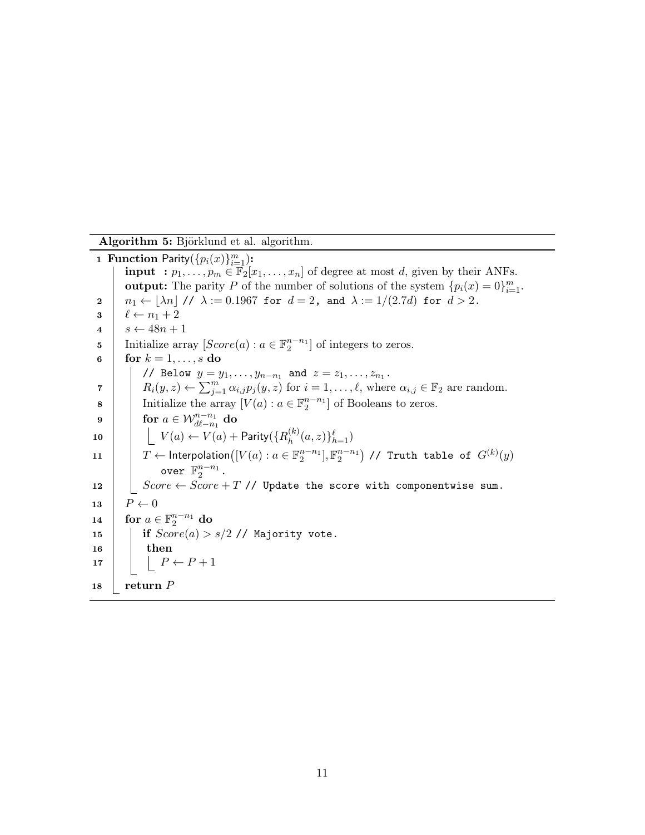Algorithm 5: Björklund et al. algorithm.

1 Function Parity $(\{p_i(x)\}_{i=1}^m)$ : **input** :  $p_1, \ldots, p_m \in \mathbb{F}_2[x_1, \ldots, x_n]$  of degree at most d, given by their ANFs. output: The parity P of the number of solutions of the system  $\{p_i(x) = 0\}_{i=1}^m$ . 2  $\left| n_1 \leftarrow |\lambda n| / \lambda := 0.1967$  for  $d = 2$ , and  $\lambda := 1/(2.7d)$  for  $d > 2$ .  $3 \mid \ell \leftarrow n_1 + 2$  $4 \mid s \leftarrow 48n + 1$ 5 Initialize array  $[Score(a): a \in \mathbb{F}_2^{n-n_1}]$  of integers to zeros. 6 for  $k = 1, \ldots, s$  do // Below  $y = y_1, ..., y_{n-n_1}$  and  $z = z_1, ..., z_{n_1}$ . 7  $R_i(y, z) \leftarrow \sum_{j=1}^m \alpha_{i,j} p_j(y, z)$  for  $i = 1, \ldots, \ell$ , where  $\alpha_{i,j} \in \mathbb{F}_2$  are random. 8 Initialize the array  $[V(a): a \in \mathbb{F}_2^{n-n_1}]$  of Booleans to zeros.  $\mathbf{9} \quad | \quad \mathbf{for} \,\, a \in \mathcal{W}^{n-n_1}_{d \ell - n_1} \,\, \mathbf{do}$ 10  $|$   $|$   $V(a) \leftarrow V(a) +$  Parity $(\{R_h^{(k)}\})$  $_{h}^{(k)}(a,z)\}_{h=1}^{\ell})$  $11$   $\left[\begin{array}{c} T\leftarrow \mathsf{Interpolation}\big( [V(a): a\in \mathbb{F}_2^{n-n_1}], \mathbb{F}_2^{n-n_1} \big) \end{array}\right] /\right/$  Truth table of  $G^{(k)}(y)$ over  $\mathbb{F}_2^{n-n_1}$ . 12 | Score ← Score + T // Update the score with componentwise sum. 13  $P \leftarrow 0$ 14  $\int$  for  $a \in \mathbb{F}_2^{n-n_1}$  do 15 | if  $Score(a) > s/2$  // Majority vote.  $16$  then 17  $\vert \vert P \leftarrow P + 1$ 18 | return  $P$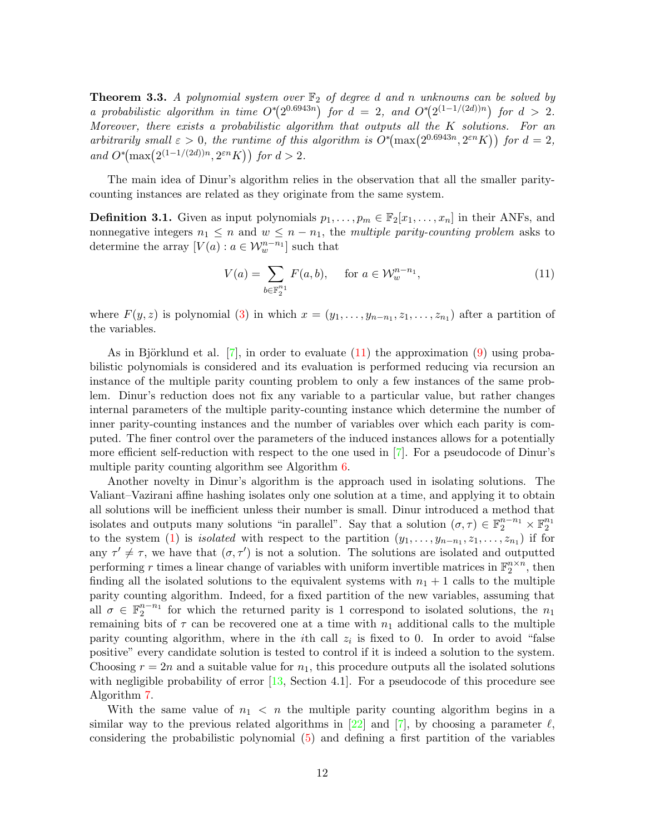**Theorem 3.3.** A polynomial system over  $\mathbb{F}_2$  of degree d and n unknowns can be solved by a probabilistic algorithm in time  $O^*(2^{0.6943n})$  for  $d = 2$ , and  $O^*(2^{(1-1/(2d))n})$  for  $d > 2$ . Moreover, there exists a probabilistic algorithm that outputs all the K solutions. For an arbitrarily small  $\varepsilon > 0$ , the runtime of this algorithm is  $O^*(\max(2^{0.6943n}, 2^{\varepsilon n}K))$  for  $d = 2$ , and  $O^*(\max(2^{(1-1/(2d))n}, 2^{\varepsilon n} K))$  for  $d > 2$ .

The main idea of Dinur's algorithm relies in the observation that all the smaller paritycounting instances are related as they originate from the same system.

**Definition 3.1.** Given as input polynomials  $p_1, \ldots, p_m \in \mathbb{F}_2[x_1, \ldots, x_n]$  in their ANFs, and nonnegative integers  $n_1 \leq n$  and  $w \leq n - n_1$ , the multiple parity-counting problem asks to determine the array  $[V(a): a \in \mathcal{W}_w^{n-n_1}]$  such that

$$
V(a) = \sum_{b \in \mathbb{F}_2^{n_1}} F(a, b), \quad \text{for } a \in \mathcal{W}_w^{n-n_1}, \tag{11}
$$

where  $F(y, z)$  is polynomial (3) in which  $x = (y_1, \ldots, y_{n-n_1}, z_1, \ldots, z_{n_1})$  after a partition of the variables.

As in Björklund et al.  $[7]$ , in order to evaluate  $(11)$  the approximation  $(9)$  using probabilistic polynomials is considered and its evaluation is performed reducing via recursion an instance of the multiple parity counting problem to only a few instances of the same problem. Dinur's reduction does not fix any variable to a particular value, but rather changes internal parameters of the multiple parity-counting instance which determine the number of inner parity-counting instances and the number of variables over which each parity is computed. The finer control over the parameters of the induced instances allows for a potentially more efficient self-reduction with respect to the one used in [7]. For a pseudocode of Dinur's multiple parity counting algorithm see Algorithm 6.

Another novelty in Dinur's algorithm is the approach used in isolating solutions. The Valiant–Vazirani affine hashing isolates only one solution at a time, and applying it to obtain all solutions will be inefficient unless their number is small. Dinur introduced a method that isolates and outputs many solutions "in parallel". Say that a solution  $(\sigma, \tau) \in \mathbb{F}_2^{n-n_1} \times \mathbb{F}_2^{n_1}$ to the system (1) is *isolated* with respect to the partition  $(y_1, \ldots, y_{n-n_1}, z_1, \ldots, z_{n_1})$  if for any  $\tau' \neq \tau$ , we have that  $(\sigma, \tau')$  is not a solution. The solutions are isolated and outputted performing r times a linear change of variables with uniform invertible matrices in  $\mathbb{F}_2^{n \times n}$ , then finding all the isolated solutions to the equivalent systems with  $n_1 + 1$  calls to the multiple parity counting algorithm. Indeed, for a fixed partition of the new variables, assuming that all  $\sigma \in \mathbb{F}_2^{n-n_1}$  for which the returned parity is 1 correspond to isolated solutions, the  $n_1$ remaining bits of  $\tau$  can be recovered one at a time with  $n_1$  additional calls to the multiple parity counting algorithm, where in the *i*th call  $z_i$  is fixed to 0. In order to avoid "false positive" every candidate solution is tested to control if it is indeed a solution to the system. Choosing  $r = 2n$  and a suitable value for  $n_1$ , this procedure outputs all the isolated solutions with negligible probability of error  $[13, \text{Section } 4.1]$ . For a pseudocode of this procedure see Algorithm 7.

With the same value of  $n_1 < n$  the multiple parity counting algorithm begins in a similar way to the previous related algorithms in [22] and [7], by choosing a parameter  $\ell$ , considering the probabilistic polynomial (5) and defining a first partition of the variables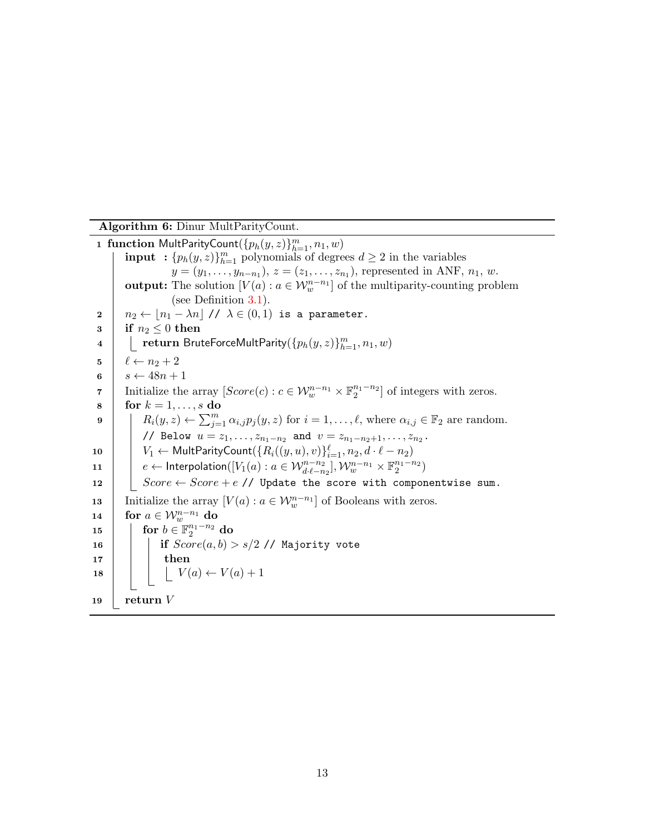Algorithm 6: Dinur MultParityCount.

1 function MultParityCount $(\{p_h(y,z)\}_{h=1}^m, n_1, w)$ **input** :  $\{p_h(y, z)\}_{h=1}^m$  polynomials of degrees  $d \geq 2$  in the variables  $y = (y_1, \ldots, y_{n-n_1}), z = (z_1, \ldots, z_{n_1}),$  represented in ANF,  $n_1, w$ . output: The solution  $[V(a) : a \in \mathcal{W}_w^{n-n_1}]$  of the multiparity-counting problem (see Definition 3.1). 2  $n_2 \leftarrow |n_1 - \lambda n| / \lambda \in (0, 1)$  is a parameter.  $3 \text{ }$  if  $n_2 \leq 0$  then  $\begin{array}{|\phantom{1}a|}\phantom{1} & \phantom{1}\mathbf{ } & \phantom{1}\mathbf{ } \mathbf{ } \mathbf{ } \mathbf{ } \mathbf{ } \end{array}$ return BruteForceMultParity $(\{p_h(y,z)\}_{h=1}^m, n_1,w)$  $5 \mid \ell \leftarrow n_2 + 2$ 6 |  $s \leftarrow 48n + 1$ 7 Initialize the array  $[Score(c):c \in \mathcal{W}_w^{n-n_1} \times \mathbb{F}_2^{n_1-n_2}]$  of integers with zeros.  $\mathbf{s} \mid \text{for } k = 1, \ldots, s \text{ do}$ 9  $R_i(y, z) \leftarrow \sum_{j=1}^m \alpha_{i,j} p_j(y, z)$  for  $i = 1, \ldots, \ell$ , where  $\alpha_{i,j} \in \mathbb{F}_2$  are random. // Below  $u = z_1, \ldots, z_{n_1-n_2}$  and  $v = z_{n_1-n_2+1}, \ldots, z_{n_2}$ . 10  $\left\{ \quad V_1 \leftarrow \textsf{MultParityCount}(\{R_i((y,u), v)\}_{i=1}^{\ell}, n_2, d \cdot \ell - n_2) \right\}$ 11  $e \leftarrow$  Interpolation $([V_1(a) : a \in \mathcal{W}^{n-n_2}_{d \cdot \ell-n_2}], \mathcal{W}^{n-n_1}_w \times \mathbb{F}^{n_1-n_2}_2)$ 12 |  $Score \leftarrow Score + e$  // Update the score with componentwise sum. 13 Initialize the array  $[V(a): a \in \mathcal{W}_w^{n-n_1}]$  of Booleans with zeros.  $\begin{array}{rcl} \textbf{14} & \textbf{for} \,\, a \in \mathcal{W}^{n-n_1}_{w} \textbf{ do} \end{array}$  $\quad \text{15} \quad | \quad \text{for } b \in \mathbb{F}_2^{n_1-n_2} \text{ do}$ 16 | | | if  $Score(a, b) > s/2$  // Majority vote  $17$  then 18  $\bigcup V(a) \leftarrow V(a) + 1$ 19 | return  $V$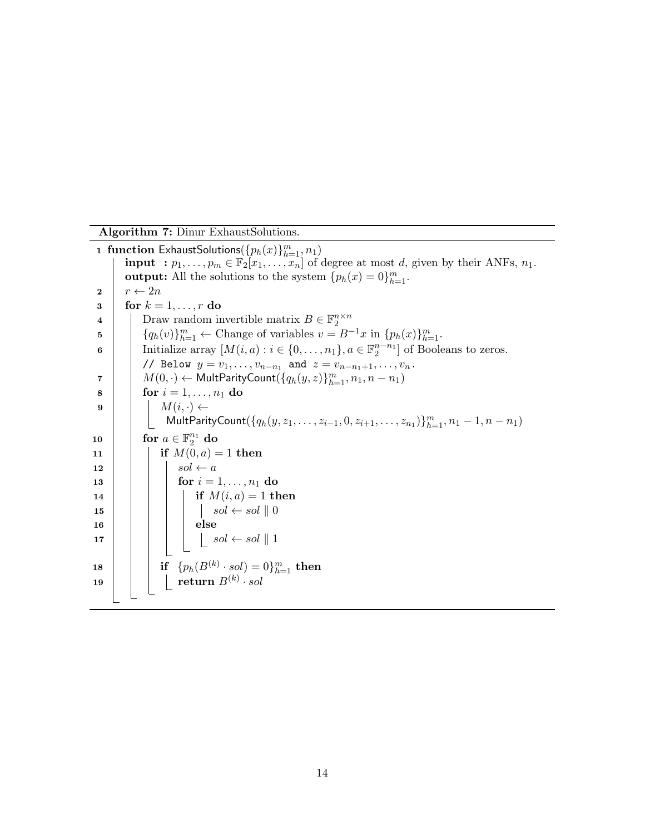Algorithm 7: Dinur ExhaustSolutions.

1 function ExhaustSolutions  $(\{p_h(x)\}_{h=1}^m, n_1)$ **input** :  $p_1, \ldots, p_m \in \mathbb{F}_2[x_1, \ldots, x_n]$  of degree at most d, given by their ANFs,  $n_1$ . **output:** All the solutions to the system  $\{p_h(x) = 0\}_{h=1}^m$ .  $2 \mid r \leftarrow 2n$  $3 \mid \text{for } k = 1, \ldots, r \text{ do}$ 4 | Draw random invertible matrix  $B \in \mathbb{F}_2^{n \times n}$ 5  $\left\{ q_h(v) \right\}_{h=1}^m \leftarrow$  Change of variables  $v = B^{-1}x$  in  $\{p_h(x)\}_{h=1}^m$ . 6 Initialize array  $[M(i, a) : i \in \{0, ..., n_1\}, a \in \mathbb{F}_2^{n-n_1}]$  of Booleans to zeros. // Below  $y = v_1, \ldots, v_{n-n_1}$  and  $z = v_{n-n_1+1}, \ldots, v_n$ .  $\begin{array}{|l|l|} \hline \mathcal{T} & M(0, \cdot) \leftarrow \textsf{MultParityCount}(\{q_h(y, z)\}_{h=1}^m, n_1, n-n_1) \hline \end{array}$ 8 **for**  $i = 1, ..., n_1$  do 9  $M(i, \cdot) \leftarrow$ MultParityCount $(\{q_h(y, z_1, \ldots, z_{i-1}, 0, z_{i+1}, \ldots, z_{n_1})\}_{h=1}^m, n_1-1, n-n_1)$  $\mathbf{10} \quad | \quad \mathbf{for} \; a \in \mathbb{F}_2^{n_1} \; \mathbf{do}$ 11 | | if  $M(0, a) = 1$  then 12 | | |  $sol \leftarrow a$ 13 | | | for  $i = 1, ..., n_1$  do 14 | | | | if  $M(i, a) = 1$  then 15  $\vert \vert \vert$   $\vert$   $\vert$   $\vert$   $\vert$  sol  $\leftarrow$  sol  $\vert \vert 0$  $16$  | | | | else 17  $\begin{array}{|c|c|c|c|c|c|c|c|} \hline \end{array}$  sol  $\begin{array}{|c|c|c|c|c|c|c|c|} \hline \end{array}$  sol  $\begin{array}{|c|c|c|c|c|c|c|} \hline \end{array}$  $\textbf{18} \quad | \quad | \quad \textbf{if} \quad \{p_h(B^{(k)} \cdot sol)=0\}_{h=1}^m \textbf{ then }$  $\begin{array}{|c|c|c|c|}\hline \textbf{19} & & \textbf{19} & \textbf{19} & \textbf{18} & \textbf{18} & \textbf{19} & \textbf{19} & \textbf{19} & \textbf{18} & \textbf{19} & \textbf{19} & \textbf{19} & \textbf{19} & \textbf{18} & \textbf{19} & \textbf{19} & \textbf{19} & \textbf{19} & \textbf{19} & \textbf{19} & \textbf{19} & \textbf{19} & \textbf{19} & \textbf{19} & \textbf{19} & \text$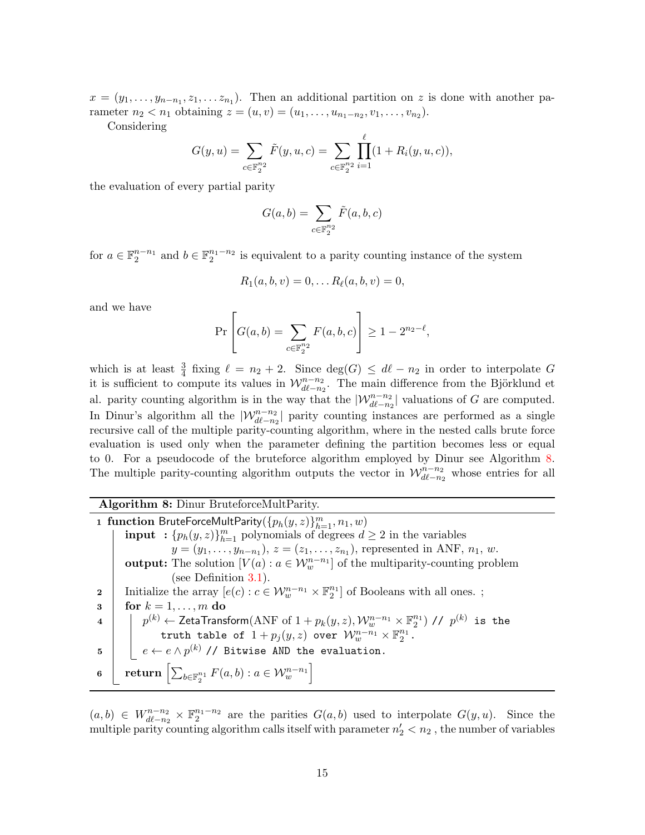$x = (y_1, \ldots, y_{n-n_1}, z_1, \ldots, z_{n_1}).$  Then an additional partition on z is done with another parameter  $n_2 < n_1$  obtaining  $z = (u, v) = (u_1, \ldots, u_{n_1 - n_2}, v_1, \ldots, v_{n_2}).$ 

Considering

$$
G(y, u) = \sum_{c \in \mathbb{F}_2^{n_2}} \tilde{F}(y, u, c) = \sum_{c \in \mathbb{F}_2^{n_2}} \prod_{i=1}^{\ell} (1 + R_i(y, u, c)),
$$

the evaluation of every partial parity

$$
G(a,b) = \sum_{c \in \mathbb{F}_2^{n_2}} \tilde{F}(a,b,c)
$$

for  $a \in \mathbb{F}_2^{n-n_1}$  and  $b \in \mathbb{F}_2^{n_1-n_2}$  is equivalent to a parity counting instance of the system

$$
R_1(a, b, v) = 0, \dots R_{\ell}(a, b, v) = 0,
$$

and we have

$$
\Pr\left[G(a,b) = \sum_{c \in \mathbb{F}_2^{n_2}} F(a,b,c)\right] \ge 1 - 2^{n_2 - \ell},
$$

which is at least  $\frac{3}{4}$  fixing  $\ell = n_2 + 2$ . Since  $\deg(G) \leq d\ell - n_2$  in order to interpolate G it is sufficient to compute its values in  $\mathcal{W}_{d\ell-n_2}^{n-n_2}$ . The main difference from the Björklund et al. parity counting algorithm is in the way that the  $|\mathcal{W}_{d\ell-n_2}^{n-n_2}|$  valuations of G are computed. In Dinur's algorithm all the  $|\mathcal{W}_{d\ell-n_2}^{n-n_2}|$  parity counting instances are performed as a single recursive call of the multiple parity-counting algorithm, where in the nested calls brute force evaluation is used only when the parameter defining the partition becomes less or equal to 0. For a pseudocode of the bruteforce algorithm employed by Dinur see Algorithm 8. The multiple parity-counting algorithm outputs the vector in  $\mathcal{W}_{d\ell-n_2}^{n-n_2}$  whose entries for all

#### Algorithm 8: Dinur BruteforceMultParity.

1 function BruteForceMultParity $(\{p_h(y,z)\}_{h=1}^m, n_1, w)$ **input** :  $\{p_h(y, z)\}_{h=1}^m$  polynomials of degrees  $d \geq 2$  in the variables  $y = (y_1, \ldots, y_{n-n_1}), z = (z_1, \ldots, z_{n_1}),$  represented in ANF,  $n_1, w$ . **output:** The solution  $[V(a) : a \in \mathcal{W}_w^{n-n_1}]$  of the multiparity-counting problem (see Definition 3.1). 2 | Initialize the array  $[e(c): c \in \mathcal{W}_w^{n-n_1} \times \mathbb{F}_2^{n_1}]$  of Booleans with all ones.;  $3 \mid \text{for } k = 1, \ldots, m \text{ do}$  $4\quad \Big|\quad \Big|\quad p^{(k)}\leftarrow {\sf ZetaTransform}({\rm ANF\ of}\ 1+p_k(y,z),{\cal W}_w^{n-n_1}\times\mathbb{F}_2^{n_1})\ \ / \ \ \rho^{(k)}\ \ \text{is\ \ the}$ truth table of  $1+p_j(y,z)$  over  $\mathcal{W}_w^{n-n_1}\times \mathbb{F}_2^{n_1}$ .  $\begin{array}{ll} \texttt{5} & | & e \leftarrow e \land p^{(k)} \text{ // Bitwise AND the evaluation.} \end{array}$  $\quad \ \textbf{6} \quad \left[ \begin{array}{c} \textbf{return} \left[ \sum_{b \in \mathbb{F}_2^{n_1}} F(a, b) : a \in \mathcal{W}_w^{n-n_1} \right] \end{array} \right]$ 

 $(a, b) \in W_{d\ell-n_2}^{n_1-n_2} \times \mathbb{F}_2^{n_1-n_2}$  are the parities  $G(a, b)$  used to interpolate  $G(y, u)$ . Since the multiple parity counting algorithm calls itself with parameter  $n'_2 < n_2$ , the number of variables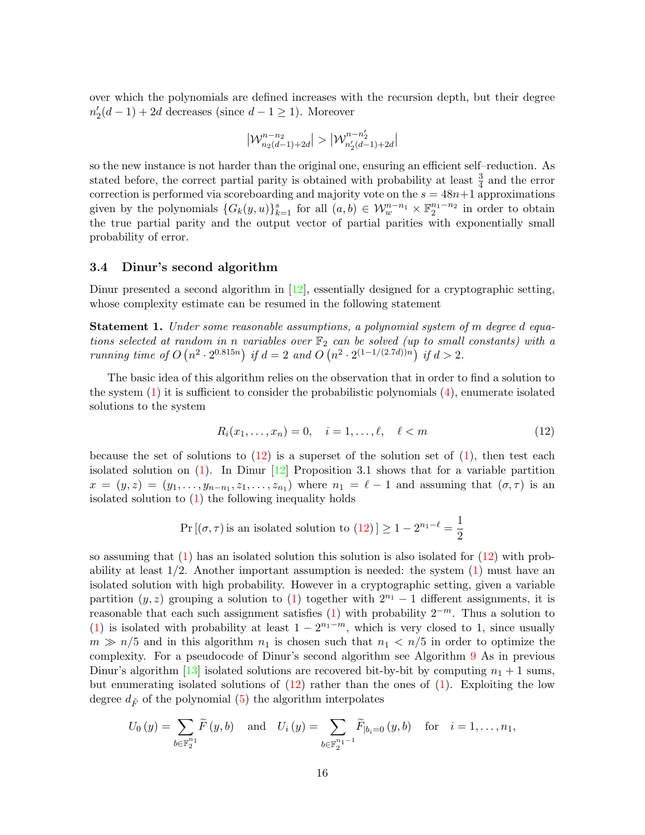over which the polynomials are defined increases with the recursion depth, but their degree  $n'_2(d-1) + 2d$  decreases (since  $d-1 \ge 1$ ). Moreover

$$
\left|\mathcal{W}_{n_2(d-1)+2d}^{n-n_2}\right|>\left|\mathcal{W}_{n_2'(d-1)+2d}^{n-n_2'}\right|
$$

so the new instance is not harder than the original one, ensuring an efficient self–reduction. As stated before, the correct partial parity is obtained with probability at least  $\frac{3}{4}$  and the error correction is performed via scoreboarding and majority vote on the  $s = 48n+1$  approximations given by the polynomials  $\{G_k(y, u)\}_{k=1}^s$  for all  $(a, b) \in \mathcal{W}_w^{n-n_1} \times \mathbb{F}_2^{n_1-n_2}$  in order to obtain the true partial parity and the output vector of partial parities with exponentially small probability of error.

#### 3.4 Dinur's second algorithm

Dinur presented a second algorithm in  $[12]$ , essentially designed for a cryptographic setting, whose complexity estimate can be resumed in the following statement

**Statement 1.** Under some reasonable assumptions, a polynomial system of m degree d equations selected at random in n variables over  $\mathbb{F}_2$  can be solved (up to small constants) with a running time of  $O(n^2 \cdot 2^{0.815n})$  if  $d = 2$  and  $O(n^2 \cdot 2^{(1-1/(2.7d))n})$  if  $d > 2$ .

The basic idea of this algorithm relies on the observation that in order to find a solution to the system  $(1)$  it is sufficient to consider the probabilistic polynomials  $(4)$ , enumerate isolated solutions to the system

$$
R_i(x_1, ..., x_n) = 0, \quad i = 1, ..., \ell, \quad \ell < m
$$
 (12)

because the set of solutions to  $(12)$  is a superset of the solution set of  $(1)$ , then test each isolated solution on (1). In Dinur [12] Proposition 3.1 shows that for a variable partition  $x = (y, z) = (y_1, \ldots, y_{n-n_1}, z_1, \ldots, z_{n_1})$  where  $n_1 = \ell - 1$  and assuming that  $(\sigma, \tau)$  is an isolated solution to  $(1)$  the following inequality holds

$$
Pr[(\sigma, \tau) \text{ is an isolated solution to } (12)] \ge 1 - 2^{n_1 - \ell} = \frac{1}{2}
$$

so assuming that  $(1)$  has an isolated solution this solution is also isolated for  $(12)$  with probability at least  $1/2$ . Another important assumption is needed: the system  $(1)$  must have an isolated solution with high probability. However in a cryptographic setting, given a variable partition  $(y, z)$  grouping a solution to (1) together with  $2^{n_1} - 1$  different assignments, it is reasonable that each such assignment satisfies  $(1)$  with probability  $2^{-m}$ . Thus a solution to (1) is isolated with probability at least  $1 - 2^{n_1 - m}$ , which is very closed to 1, since usually  $m \gg n/5$  and in this algorithm  $n_1$  is chosen such that  $n_1 < n/5$  in order to optimize the complexity. For a pseudocode of Dinur's second algorithm see Algorithm 9 As in previous Dinur's algorithm [13] isolated solutions are recovered bit-by-bit by computing  $n_1 + 1$  sums, but enumerating isolated solutions of  $(12)$  rather than the ones of  $(1)$ . Exploiting the low degree  $d_{\tilde{F}}$  of the polynomial (5) the algorithm interpolates

$$
U_0(y) = \sum_{b \in \mathbb{F}_2^{n_1}} \widetilde{F}(y, b) \text{ and } U_i(y) = \sum_{b \in \mathbb{F}_2^{n_1 - 1}} \widetilde{F}_{|b_i = 0}(y, b) \text{ for } i = 1, ..., n_1,
$$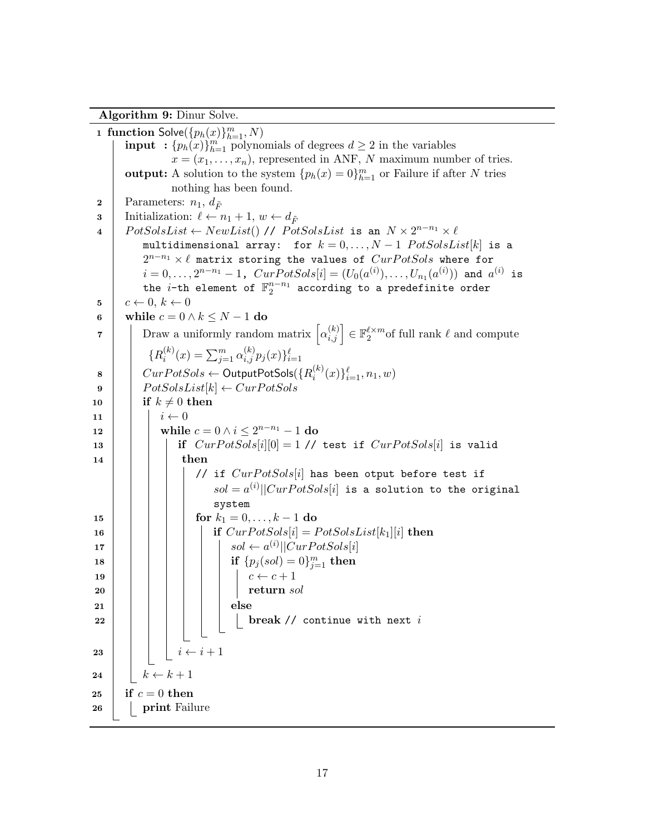Algorithm 9: Dinur Solve.

1 function  $\mathsf{Solve}(\{p_h(x)\}_{h=1}^m, N)$ **input** :  $\{p_h(x)\}_{h=1}^m$  polynomials of degrees  $d \geq 2$  in the variables  $x = (x_1, \ldots, x_n)$ , represented in ANF, N maximum number of tries. **output:** A solution to the system  ${p_h(x) = 0}_{h=1}^m$  or Failure if after N tries nothing has been found. 2 | Parameters:  $n_1, d_{\tilde{F}}$ **3** Initialization:  $\ell \leftarrow n_1 + 1, w \leftarrow d_{\tilde{F}}$  $4 \mid \; PotSolsList \leftarrow NewList() \; \textit{//} \; PotSolsList \; \texttt{is an} \; \; N \times 2^{n-n_1} \times \ell$ multidimensional array: for  $k = 0, ..., N - 1$   $PotSolsList[k]$  is a  $2^{n-n_1} \times \ell$  matrix storing the values of  $CurPotSols$  where for  $i=0,\ldots,2^{n-n_1}-1$ ,  $CurPotSols[i]=(U_0(a^{(i)}),\ldots,U_{n_1}(a^{(i)}))$  and  $a^{(i)}$  is the *i*-th element of  $\mathbb{F}_2^{n-n_1}$  according to a predefinite order  $5 \mid c \leftarrow 0, k \leftarrow 0$ 6 while  $c = 0 \wedge k \leq N - 1$  do  $\tau$  | Draw a uniformly random matrix  $\left[\alpha_{i,j}^{(k)}\right] \in \mathbb{F}_2^{\ell \times m}$  of full rank  $\ell$  and compute  ${R_i^{(k)}}$  $\sum_{j=1}^{(k)}(x) = \sum_{j=1}^{m} \alpha_{i,j}^{(k)} p_j(x) \}_{i=1}^{\ell}$  $\begin{array}{c|c} \mathbf{8} & \begin{array}{|c} & \end{array} & \text{CurPotSols} \leftarrow \textsf{OutputPotSols}(\{R_i^{(k)}\} \end{array}$  $\{^{(k)}_i(x)\}_{i=1}^{\ell}, n_1, w$ 9 | |  $PotSolsList[k] \leftarrow CurPotSols$ 10 if  $k \neq 0$  then 11  $\vert \vert \vert i \leftarrow 0$  $\begin{array}{|c|c|c|}\hline \textbf{12} & & \textbf{while } c=0 \wedge i\leq 2^{n-n_1}-1 \textbf{ do} \ \hline \end{array}$ 13 if  $CurPotSols[i][0] = 1$  // test if  $CurPotSols[i]$  is valid  $14$  then // if  $CurPotSols[i]$  has been otput before test if  $sol = a^{(i)}||CurPotSols[i]$  is a solution to the original system 15 | | | | for  $k_1 = 0, \ldots, k-1$  do 16 | | | | if  $CurPotSols[i] = PotSolsList[k_1][i]$  then 17  $\vert$   $\vert$   $\vert$   $\vert$   $\vert$   $\vert$  sol  $\leftarrow$  a<sup>(i)</sup> $\vert$  $CurPotSols[i]$  $\texttt{ is } \hspace{.1cm} | \hspace{.16cm} \textbf{ if } \{p_j(sol)=0\}_{j=1}^m \textbf{ then }$ 19 c ← c + 1 20 return sol  $21$  | | | | | else  $22$  | | | | | | | break // continue with next i 23 | | |  $i \leftarrow i+1$ 24  $\vert k \leftarrow k + 1$ 25 if  $c=0$  then 26 **print** Failure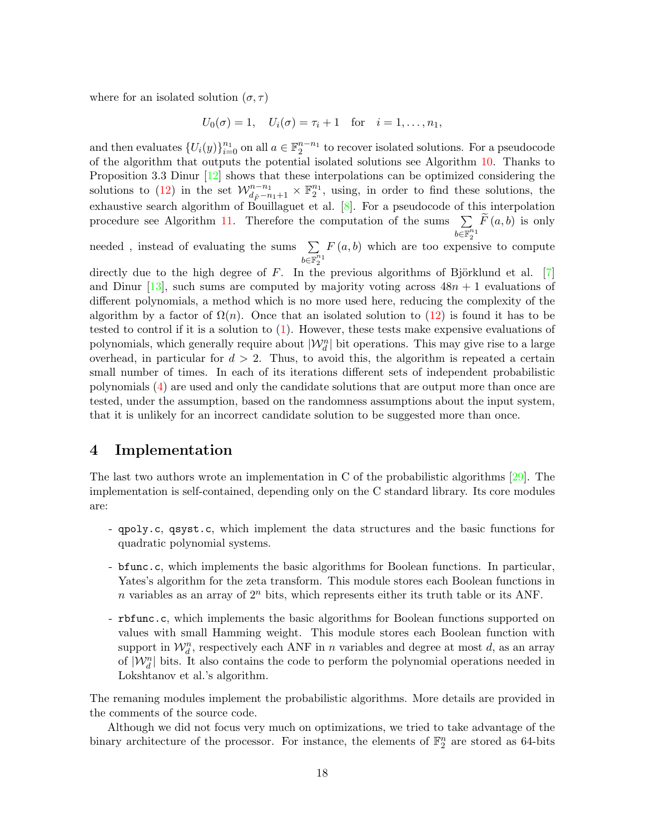where for an isolated solution  $(\sigma, \tau)$ 

$$
U_0(\sigma) = 1
$$
,  $U_i(\sigma) = \tau_i + 1$  for  $i = 1, ..., n_1$ ,

and then evaluates  $\{U_i(y)\}_{i=0}^{n_1}$  on all  $a \in \mathbb{F}_2^{n-n_1}$  to recover isolated solutions. For a pseudocode of the algorithm that outputs the potential isolated solutions see Algorithm 10. Thanks to Proposition 3.3 Dinur  $[12]$  shows that these interpolations can be optimized considering the solutions to (12) in the set  $\mathcal{W}_{d_{\tilde{F}}-n_1+1}^{n-n_1} \times \mathbb{F}_2^{n_1}$ , using, in order to find these solutions, the exhaustive search algorithm of Bouillaguet et al. [8]. For a pseudocode of this interpolation procedure see Algorithm 11. Therefore the computation of the sums  $\Sigma$  $\widetilde{\mathrm{deg}^n_2}^1$  $F(a, b)$  is only

needed, instead of evaluating the sums  $\Sigma$  $\bar{b \in \mathbb{F}_2^{n_1}}$  $F(a, b)$  which are too expensive to compute

directly due to the high degree of  $F$ . In the previous algorithms of Björklund et al. [7] and Dinur [13], such sums are computed by majority voting across  $48n + 1$  evaluations of different polynomials, a method which is no more used here, reducing the complexity of the algorithm by a factor of  $\Omega(n)$ . Once that an isolated solution to (12) is found it has to be tested to control if it is a solution to (1). However, these tests make expensive evaluations of polynomials, which generally require about  $|\mathcal{W}_d^n|$  bit operations. This may give rise to a large overhead, in particular for  $d > 2$ . Thus, to avoid this, the algorithm is repeated a certain small number of times. In each of its iterations different sets of independent probabilistic polynomials (4) are used and only the candidate solutions that are output more than once are tested, under the assumption, based on the randomness assumptions about the input system, that it is unlikely for an incorrect candidate solution to be suggested more than once.

# 4 Implementation

The last two authors wrote an implementation in C of the probabilistic algorithms [29]. The implementation is self-contained, depending only on the C standard library. Its core modules are:

- qpoly.c, qsyst.c, which implement the data structures and the basic functions for quadratic polynomial systems.
- bfunc.c, which implements the basic algorithms for Boolean functions. In particular, Yates's algorithm for the zeta transform. This module stores each Boolean functions in n variables as an array of  $2<sup>n</sup>$  bits, which represents either its truth table or its ANF.
- rbfunc.c, which implements the basic algorithms for Boolean functions supported on values with small Hamming weight. This module stores each Boolean function with support in  $\mathcal{W}_d^n$ , respectively each ANF in n variables and degree at most d, as an array of  $|\mathcal{W}_d^n|$  bits. It also contains the code to perform the polynomial operations needed in Lokshtanov et al.'s algorithm.

The remaning modules implement the probabilistic algorithms. More details are provided in the comments of the source code.

Although we did not focus very much on optimizations, we tried to take advantage of the binary architecture of the processor. For instance, the elements of  $\mathbb{F}_2^n$  are stored as 64-bits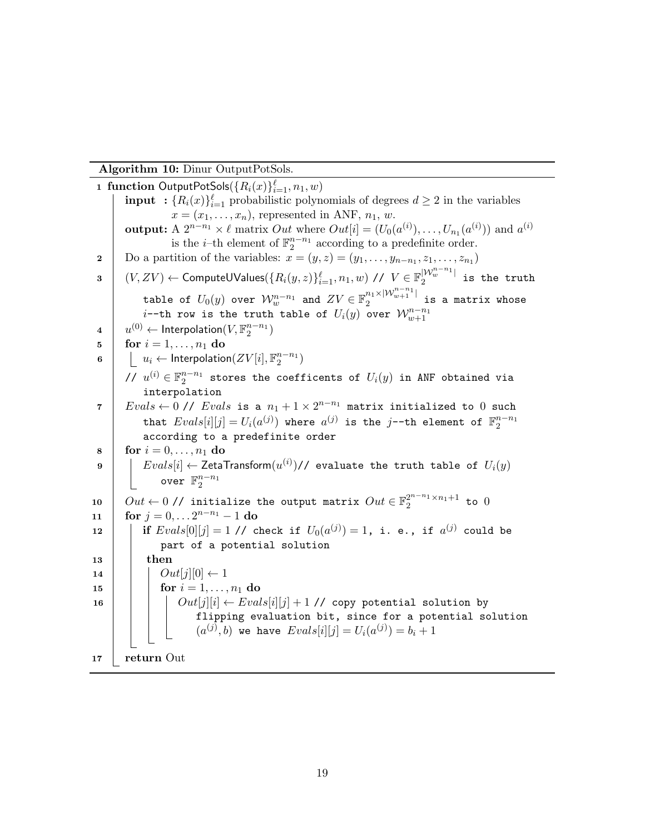Algorithm 10: Dinur OutputPotSols.

1 function OutputPotSols $(\{R_i(x)\}_{i=1}^{\ell}, n_1, w)$ **input** :  ${R_i(x)}_{i=1}^{\ell}$  probabilistic polynomials of degrees  $d \geq 2$  in the variables  $x = (x_1, \ldots, x_n)$ , represented in ANF,  $n_1, w$ . output: A  $2^{n-n_1} \times \ell$  matrix  $Out$  where  $Out[i] = (U_0(a^{(i)}), \ldots, U_{n_1}(a^{(i)}))$  and  $a^{(i)}$ is the *i*-th element of  $\mathbb{F}_2^{n-n_1}$  according to a predefinite order. 2 Do a partition of the variables:  $x = (y, z) = (y_1, \ldots, y_{n-n_1}, z_1, \ldots, z_{n_1})$  $\begin{array}{ll} \mathbf{3} & \left( V,ZV \right) \leftarrow \mathsf{ComputeUV} \mathsf{values}(\{ R_i(y,z) \}_{i=1}^\ell, n_1,w) \text{ // } V \in \mathbb{F}_2^{|\mathcal{W}_w^{n-n_1}|} \end{array} \right)$  $\frac{1}{2}$  is the truth table of  $U_0(y)$  over  $\mathcal{W}_w^{n-n_1}$  and  $ZV\in \mathbb{F}_2^{n_1\times |\mathcal{W}_{w+1}^{n-n_1}|}$  $\frac{n_1}{2}$ <sup>2</sup>  $\cdots$ <sub>w+1</sub>  $\cdots$  is a matrix whose  $i$ --th row is the truth table of  $U_i(y)$  over  $\mathcal{W}^{n-n_1}_{w+1}$  $4\quad \left[ \quad u^{(0)}\leftarrow \textsf{Interpolation}(V,\mathbb{F}_2^{n-n_1}) \right]$ 5 **for**  $i = 1, ..., n_1$  do  $\begin{array}{|l|}\textbf{6}}&\begin{array}{|c|}\end{array} & \begin{array}{|c|}\end{array} & u_i\leftarrow \textsf{Interpolation}(ZV[i],\mathbb{F}_2^{n-n_1})\end{array}$ //  $u^{(i)} \in \mathbb{F}_2^{n-n_1}$  stores the coefficents of  $U_i(y)$  in ANF obtained via interpolation  $7\,$   $\mid$   $\, \, Evals \leftarrow 0$  //  $\, \, Evals$  is a  $\, n_{1} + 1 \times 2^{n-n_{1}}$  matrix initialized to  $0$  such that  $Evals[i][j] = U_i(a^{(j)})$  where  $a^{(j)}$  is the j--th element of  $\mathbb{F}_2^{n-n_1}$ according to a predefinite order 8 **for**  $i = 0, ..., n_1$  do  $9$   $\quad$   $\mid$   $\mid$   $Evals[i] \leftarrow$  ZetaTransform $(u^{(i)})$ // evaluate the truth table of  $U_i(y)$ over  $\mathbb{F}_2^{n-n_1}$ 10  $\Big|$   $Out \leftarrow$  0// initialize the output matrix  $Out \in \mathbb{F}_2^{2^{n-n_1} \times n_1 + 1}$  to  $0$ 11  $\int$  for  $j = 0, \ldots 2^{n-n_1} - 1$  do  $\mathtt{12}$   $\begin{array}{|c|c|c|c|c|c|} \hline \mathtt{if} \; Evals[0][j]=1 \; \texttt{\textit{1}}/ \texttt{check} \; \mathtt{if} \; \; U_0(a^{(j)})=1, \; \mathtt{i}.\; \mathtt{e}.\,, \; \mathtt{if} \; \; a^{(j)} \; \texttt{could be} \end{array}$ part of a potential solution  $13$  then 14  $\vert$   $\vert$   $Out[j][0] \leftarrow 1$ 15 | |  $\text{for } i = 1, ..., n_1 \text{ do}$ 16  $\vert$   $\vert$   $\vert$   $\vert$   $Out[j][i] \leftarrow Evals[i][j] + 1$  // copy potential solution by flipping evaluation bit, since for a potential solution  $(a^{(j)},b)$  we have  $Evals[i][j] = U_i(a^{(j)}) = b_i + 1$  $17$  return Out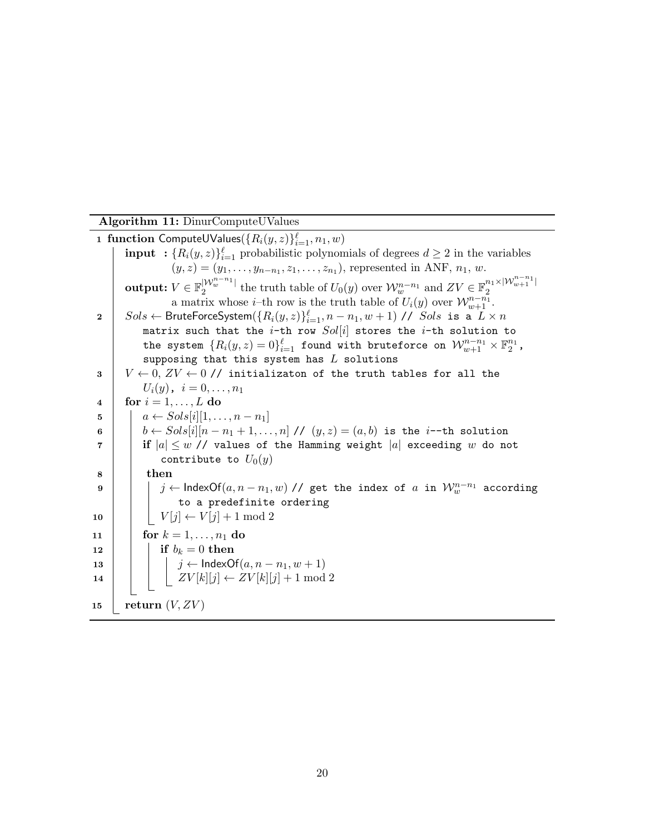Algorithm 11: DinurComputeUValues

1 function ComputeUValues $(\{R_i(y,z)\}_{i=1}^{\ell},n_1,w)$ **input** :  ${R_i(y, z)}_{i=1}^{\ell}$  probabilistic polynomials of degrees  $d \geq 2$  in the variables  $(y, z) = (y_1, \ldots, y_{n-n_1}, z_1, \ldots, z_{n_1}),$  represented in ANF,  $n_1, w$ .  $\textbf{output:}~V\in \mathbb{F}_2^{|\mathcal{W}^{n-n_1}_w|}$  $|{\mathcal W}^{n-n_1}_w|$  the truth table of  $U_0(y)$  over  ${\mathcal W}^{n-n_1}_w$  and  $ZV\in {\mathbb F}_2^{n_1\times |{\mathcal W}^{n-n_1}_{w+1}|}$ 2 a matrix whose *i*-th row is the truth table of  $U_i(y)$  over  $\mathcal{W}_{w+1}^{n-n_1}$ .  $2 \quad \Big| \quad Sols \leftarrow \textsf{BruteForceSystem}(\{R_i(y,z)\}_{i=1}^{\ell}, n-n_1, w+1) \textit{ // } \textit{Sols} \text{ is a } \textit{L} \times n$ matrix such that the *i*-th row  $Sol[i]$  stores the *i*-th solution to the system  $\{R_i(y, z) = 0\}_{i=1}^{\ell}$  found with bruteforce on  $\mathcal{W}^{n-n_1}_{w+1} \times \mathbb{F}^{n_1}_2$ , supposing that this system has  $L$  solutions 3  $V \leftarrow 0, ZV \leftarrow 0$  // initializaton of the truth tables for all the  $U_i(y)$ ,  $i = 0, \ldots, n_1$ 4 for  $i = 1, \ldots, L$  do 5  $| \quad a \leftarrow Sols[i][1, \ldots, n-n_1]$ 6 b ← Sols[i][ $n - n_1 + 1, ..., n$ ] //  $(y, z) = (a, b)$  is the *i*--th solution  $7$  if  $|a| \leq w$  // values of the Hamming weight  $|a|$  exceeding w do not contribute to  $U_0(y)$  $8$  then  $9$   $\vert$   $\vert$   $\vert$   $j \leftarrow$   $\textsf{IndexOf}(a, n-n_1, w)$  // get the index of  $a$  in  $\mathcal{W}_w^{n-n_1}$  according to a predefinite ordering 10  $|V[j] \leftarrow V[j] + 1 \mod 2$ 11 | for  $k = 1, ..., n_1$  do 12 **if**  $b_k = 0$  then 13 | | |  $j \leftarrow \textsf{IndexOf}(a, n - n_1, w + 1)$ 14  $|$   $|$   $|$   $ZV[k][j] \leftarrow ZV[k][j] + 1 \mod 2$ 15 | return  $(V, ZV)$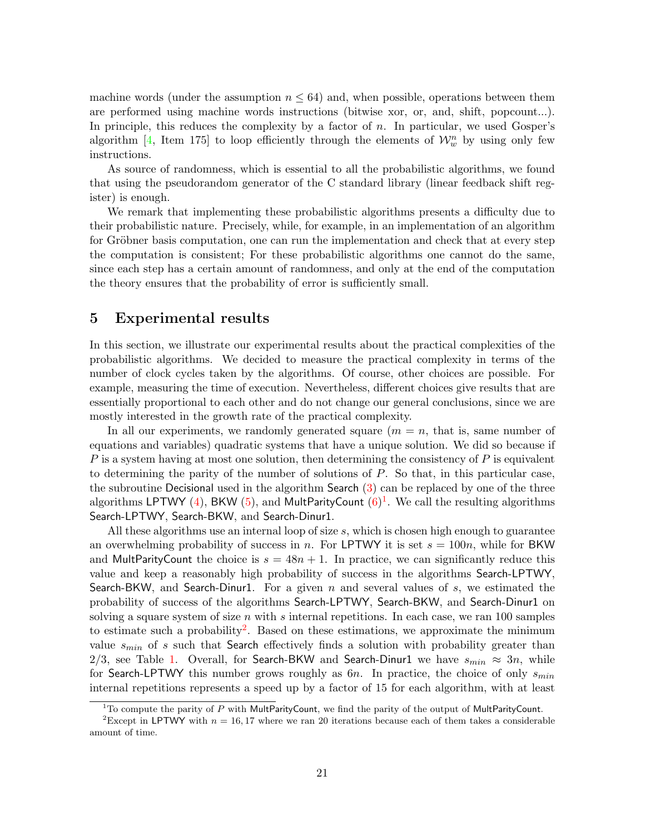machine words (under the assumption  $n \leq 64$ ) and, when possible, operations between them are performed using machine words instructions (bitwise xor, or, and, shift, popcount...). In principle, this reduces the complexity by a factor of  $n$ . In particular, we used Gosper's algorithm [4, Item 175] to loop efficiently through the elements of  $\mathcal{W}_w^n$  by using only few instructions.

As source of randomness, which is essential to all the probabilistic algorithms, we found that using the pseudorandom generator of the C standard library (linear feedback shift register) is enough.

We remark that implementing these probabilistic algorithms presents a difficulty due to their probabilistic nature. Precisely, while, for example, in an implementation of an algorithm for Gröbner basis computation, one can run the implementation and check that at every step the computation is consistent; For these probabilistic algorithms one cannot do the same, since each step has a certain amount of randomness, and only at the end of the computation the theory ensures that the probability of error is sufficiently small.

# 5 Experimental results

In this section, we illustrate our experimental results about the practical complexities of the probabilistic algorithms. We decided to measure the practical complexity in terms of the number of clock cycles taken by the algorithms. Of course, other choices are possible. For example, measuring the time of execution. Nevertheless, different choices give results that are essentially proportional to each other and do not change our general conclusions, since we are mostly interested in the growth rate of the practical complexity.

In all our experiments, we randomly generated square  $(m = n, \text{ that is, same number of})$ equations and variables) quadratic systems that have a unique solution. We did so because if  $P$  is a system having at most one solution, then determining the consistency of  $P$  is equivalent to determining the parity of the number of solutions of P. So that, in this particular case, the subroutine Decisional used in the algorithm Search (3) can be replaced by one of the three algorithms LPTWY (4), BKW (5), and MultParityCount  $(6)^{1}$ . We call the resulting algorithms Search-LPTWY, Search-BKW, and Search-Dinur1.

All these algorithms use an internal loop of size  $s$ , which is chosen high enough to guarantee an overwhelming probability of success in n. For LPTWY it is set  $s = 100n$ , while for BKW and MultParityCount the choice is  $s = 48n + 1$ . In practice, we can significantly reduce this value and keep a reasonably high probability of success in the algorithms Search-LPTWY, Search-BKW, and Search-Dinur1. For a given n and several values of s, we estimated the probability of success of the algorithms Search-LPTWY, Search-BKW, and Search-Dinur1 on solving a square system of size  $n$  with  $s$  internal repetitions. In each case, we ran 100 samples to estimate such a probability<sup>2</sup>. Based on these estimations, we approximate the minimum value  $s_{min}$  of s such that Search effectively finds a solution with probability greater than 2/3, see Table 1. Overall, for Search-BKW and Search-Dinur1 we have  $s_{min} \approx 3n$ , while for Search-LPTWY this number grows roughly as  $6n$ . In practice, the choice of only  $s_{min}$ internal repetitions represents a speed up by a factor of 15 for each algorithm, with at least

 $1$ To compute the parity of P with MultParityCount, we find the parity of the output of MultParityCount.

<sup>&</sup>lt;sup>2</sup>Except in LPTWY with  $n = 16, 17$  where we ran 20 iterations because each of them takes a considerable amount of time.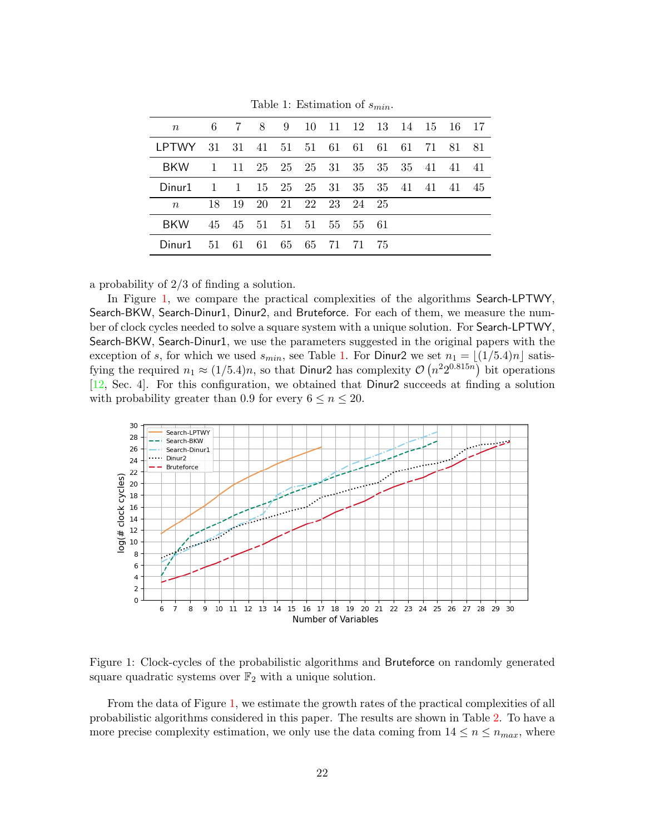| $\, n$        |              |  |  | 6 7 8 9 10 11 12 13 14 15 16 17     |  |  |    |
|---------------|--------------|--|--|-------------------------------------|--|--|----|
| I PTWY        |              |  |  | 31 31 41 51 51 61 61 61 61 71 81 81 |  |  |    |
| <b>BKW</b>    | $\mathbf{1}$ |  |  | 11 25 25 25 31 35 35 35 41 41 41    |  |  |    |
| Dinur1        | $\mathbf{1}$ |  |  | 1 15 25 25 31 35 35 41 41 41        |  |  | 45 |
| $n_{\rm c}$   | 18           |  |  | 19 20 21 22 23 24 25                |  |  |    |
| <b>BKW</b>    |              |  |  | 45 45 51 51 51 55 55 61             |  |  |    |
| $1)$ inur $1$ |              |  |  | 51 61 61 65 65 71 71 75             |  |  |    |

Table 1: Estimation of  $s_{min}$ .

a probability of 2/3 of finding a solution.

In Figure 1, we compare the practical complexities of the algorithms Search-LPTWY, Search-BKW, Search-Dinur1, Dinur2, and Bruteforce. For each of them, we measure the number of clock cycles needed to solve a square system with a unique solution. For Search-LPTWY, Search-BKW, Search-Dinur1, we use the parameters suggested in the original papers with the exception of s, for which we used  $s_{min}$ , see Table 1. For Dinur2 we set  $n_1 = \lfloor (1/5.4)n \rfloor$  satisfying the required  $n_1 \approx (1/5.4)n$ , so that Dinur2 has complexity  $\mathcal{O}(n^2 2^{0.815n})$  bit operations [12, Sec. 4]. For this configuration, we obtained that Dinur2 succeeds at finding a solution with probability greater than 0.9 for every  $6 \le n \le 20$ .



Figure 1: Clock-cycles of the probabilistic algorithms and Bruteforce on randomly generated square quadratic systems over  $\mathbb{F}_2$  with a unique solution.

From the data of Figure 1, we estimate the growth rates of the practical complexities of all probabilistic algorithms considered in this paper. The results are shown in Table 2. To have a more precise complexity estimation, we only use the data coming from  $14 \le n \le n_{max}$ , where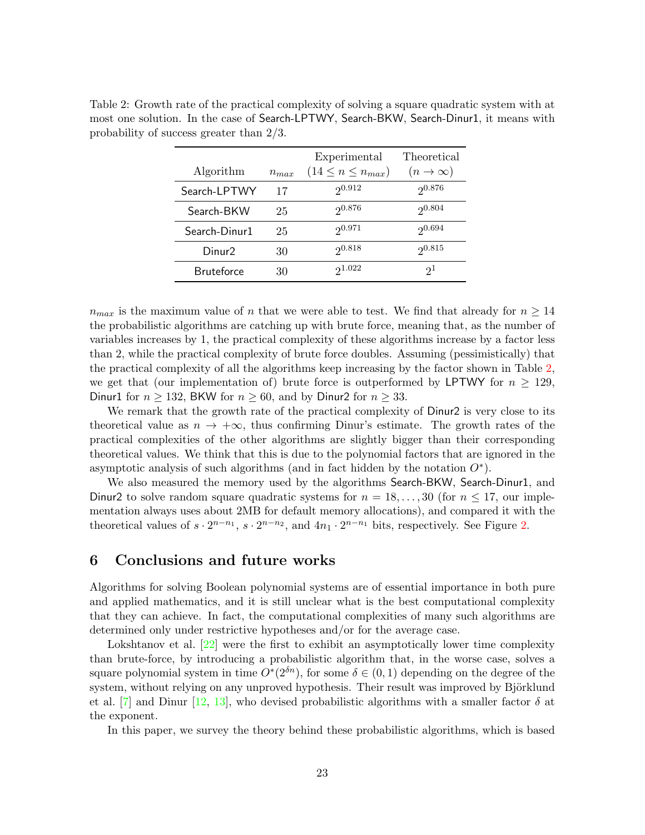| Algorithm          | $n_{max}$ | Experimental<br>$(14 \leq n \leq n_{max})$ | Theoretical<br>$(n \to \infty)$ |
|--------------------|-----------|--------------------------------------------|---------------------------------|
| Search-LPTWY       | 17        | 20.912                                     | 20.876                          |
|                    |           |                                            |                                 |
| Search-BKW         | 25        | 20.876                                     | 20.804                          |
| Search-Dinur1      | 25        | 20.971                                     | 20.694                          |
| Dinur <sub>2</sub> | 30        | 20.818                                     | 20.815                          |
| <b>Bruteforce</b>  | 30        | 21.022                                     | $2^{1}$                         |

Table 2: Growth rate of the practical complexity of solving a square quadratic system with at most one solution. In the case of Search-LPTWY, Search-BKW, Search-Dinur1, it means with probability of success greater than 2/3.

 $n_{max}$  is the maximum value of n that we were able to test. We find that already for  $n \geq 14$ the probabilistic algorithms are catching up with brute force, meaning that, as the number of variables increases by 1, the practical complexity of these algorithms increase by a factor less than 2, while the practical complexity of brute force doubles. Assuming (pessimistically) that the practical complexity of all the algorithms keep increasing by the factor shown in Table 2, we get that (our implementation of) brute force is outperformed by LPTWY for  $n \geq 129$ , Dinur1 for  $n \ge 132$ , BKW for  $n \ge 60$ , and by Dinur2 for  $n \ge 33$ .

We remark that the growth rate of the practical complexity of Dinur2 is very close to its theoretical value as  $n \to +\infty$ , thus confirming Dinur's estimate. The growth rates of the practical complexities of the other algorithms are slightly bigger than their corresponding theoretical values. We think that this is due to the polynomial factors that are ignored in the asymptotic analysis of such algorithms (and in fact hidden by the notation  $O^*$ ).

We also measured the memory used by the algorithms Search-BKW, Search-Dinur1, and Dinur2 to solve random square quadratic systems for  $n = 18, \ldots, 30$  (for  $n \le 17$ , our implementation always uses about 2MB for default memory allocations), and compared it with the theoretical values of  $s \cdot 2^{n-n_1}$ ,  $s \cdot 2^{n-n_2}$ , and  $4n_1 \cdot 2^{n-n_1}$  bits, respectively. See Figure 2.

### 6 Conclusions and future works

Algorithms for solving Boolean polynomial systems are of essential importance in both pure and applied mathematics, and it is still unclear what is the best computational complexity that they can achieve. In fact, the computational complexities of many such algorithms are determined only under restrictive hypotheses and/or for the average case.

Lokshtanov et al. [22] were the first to exhibit an asymptotically lower time complexity than brute-force, by introducing a probabilistic algorithm that, in the worse case, solves a square polynomial system in time  $O^*(2^{\delta n})$ , for some  $\delta \in (0,1)$  depending on the degree of the system, without relying on any unproved hypothesis. Their result was improved by Björklund et al.  $[7]$  and Dinur  $[12, 13]$ , who devised probabilistic algorithms with a smaller factor  $\delta$  at the exponent.

In this paper, we survey the theory behind these probabilistic algorithms, which is based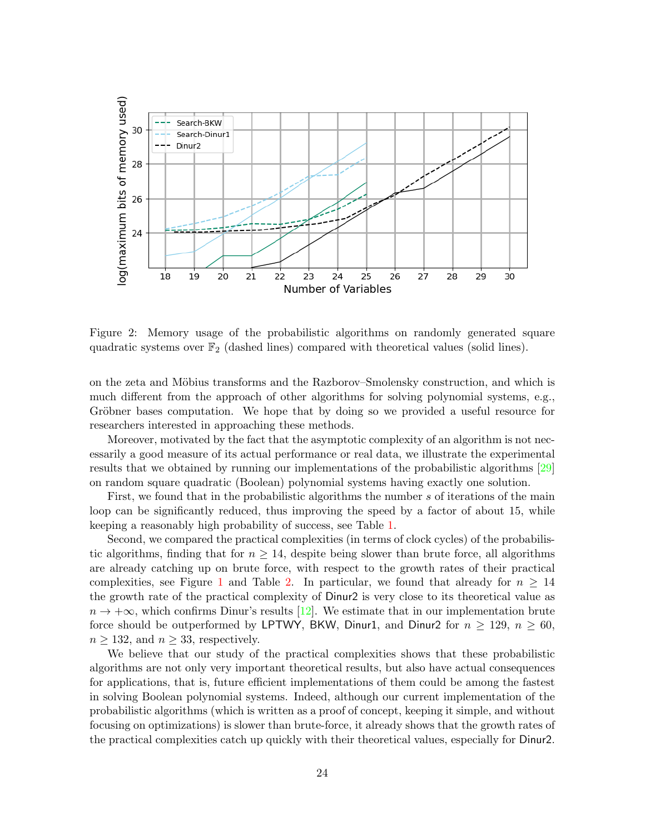

Figure 2: Memory usage of the probabilistic algorithms on randomly generated square quadratic systems over  $\mathbb{F}_2$  (dashed lines) compared with theoretical values (solid lines).

on the zeta and Möbius transforms and the Razborov–Smolensky construction, and which is much different from the approach of other algorithms for solving polynomial systems, e.g., Gröbner bases computation. We hope that by doing so we provided a useful resource for researchers interested in approaching these methods.

Moreover, motivated by the fact that the asymptotic complexity of an algorithm is not necessarily a good measure of its actual performance or real data, we illustrate the experimental results that we obtained by running our implementations of the probabilistic algorithms [29] on random square quadratic (Boolean) polynomial systems having exactly one solution.

First, we found that in the probabilistic algorithms the number s of iterations of the main loop can be significantly reduced, thus improving the speed by a factor of about 15, while keeping a reasonably high probability of success, see Table 1.

Second, we compared the practical complexities (in terms of clock cycles) of the probabilistic algorithms, finding that for  $n \geq 14$ , despite being slower than brute force, all algorithms are already catching up on brute force, with respect to the growth rates of their practical complexities, see Figure 1 and Table 2. In particular, we found that already for  $n \geq 14$ the growth rate of the practical complexity of Dinur2 is very close to its theoretical value as  $n \to +\infty$ , which confirms Dinur's results [12]. We estimate that in our implementation brute force should be outperformed by LPTWY, BKW, Dinur1, and Dinur2 for  $n \ge 129$ ,  $n \ge 60$ ,  $n \geq 132$ , and  $n \geq 33$ , respectively.

We believe that our study of the practical complexities shows that these probabilistic algorithms are not only very important theoretical results, but also have actual consequences for applications, that is, future efficient implementations of them could be among the fastest in solving Boolean polynomial systems. Indeed, although our current implementation of the probabilistic algorithms (which is written as a proof of concept, keeping it simple, and without focusing on optimizations) is slower than brute-force, it already shows that the growth rates of the practical complexities catch up quickly with their theoretical values, especially for Dinur2.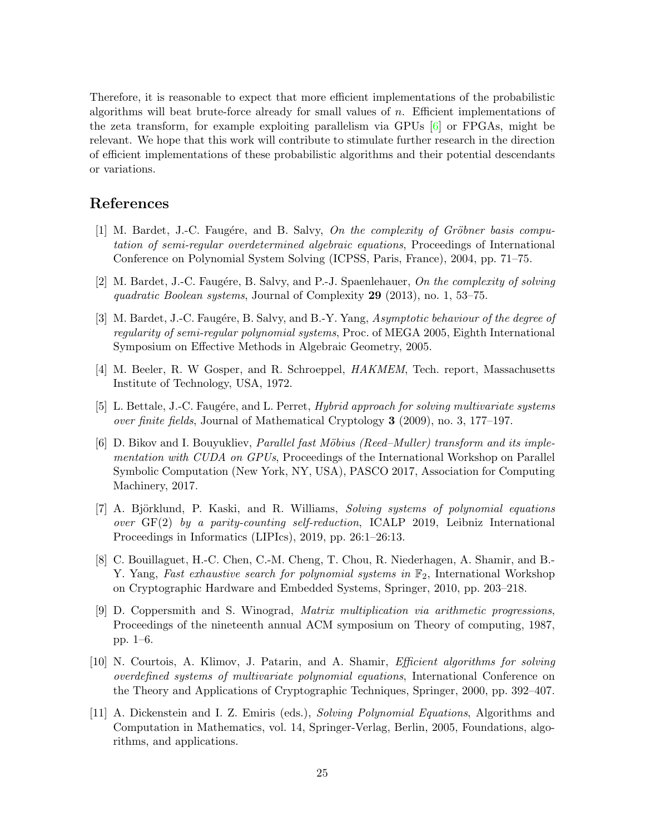Therefore, it is reasonable to expect that more efficient implementations of the probabilistic algorithms will beat brute-force already for small values of  $n$ . Efficient implementations of the zeta transform, for example exploiting parallelism via GPUs  $[6]$  or FPGAs, might be relevant. We hope that this work will contribute to stimulate further research in the direction of efficient implementations of these probabilistic algorithms and their potential descendants or variations.

# References

- [1] M. Bardet, J.-C. Faugére, and B. Salvy, On the complexity of Gröbner basis computation of semi-regular overdetermined algebraic equations, Proceedings of International Conference on Polynomial System Solving (ICPSS, Paris, France), 2004, pp. 71–75.
- [2] M. Bardet, J.-C. Faugére, B. Salvy, and P.-J. Spaenlehauer, On the complexity of solving quadratic Boolean systems, Journal of Complexity 29 (2013), no. 1, 53–75.
- [3] M. Bardet, J.-C. Faugére, B. Salvy, and B.-Y. Yang, Asymptotic behaviour of the degree of regularity of semi-regular polynomial systems, Proc. of MEGA 2005, Eighth International Symposium on Effective Methods in Algebraic Geometry, 2005.
- [4] M. Beeler, R. W Gosper, and R. Schroeppel, HAKMEM, Tech. report, Massachusetts Institute of Technology, USA, 1972.
- [5] L. Bettale, J.-C. Faugére, and L. Perret, *Hybrid approach for solving multivariate systems* over finite fields, Journal of Mathematical Cryptology 3 (2009), no. 3, 177–197.
- [6] D. Bikov and I. Bouyukliev, Parallel fast Möbius (Reed–Muller) transform and its implementation with CUDA on GPUs, Proceedings of the International Workshop on Parallel Symbolic Computation (New York, NY, USA), PASCO 2017, Association for Computing Machinery, 2017.
- [7] A. Björklund, P. Kaski, and R. Williams, *Solving systems of polynomial equations* over GF(2) by a parity-counting self-reduction, ICALP 2019, Leibniz International Proceedings in Informatics (LIPIcs), 2019, pp. 26:1–26:13.
- [8] C. Bouillaguet, H.-C. Chen, C.-M. Cheng, T. Chou, R. Niederhagen, A. Shamir, and B.- Y. Yang, Fast exhaustive search for polynomial systems in  $\mathbb{F}_2$ , International Workshop on Cryptographic Hardware and Embedded Systems, Springer, 2010, pp. 203–218.
- [9] D. Coppersmith and S. Winograd, Matrix multiplication via arithmetic progressions, Proceedings of the nineteenth annual ACM symposium on Theory of computing, 1987, pp. 1–6.
- [10] N. Courtois, A. Klimov, J. Patarin, and A. Shamir, Efficient algorithms for solving overdefined systems of multivariate polynomial equations, International Conference on the Theory and Applications of Cryptographic Techniques, Springer, 2000, pp. 392–407.
- [11] A. Dickenstein and I. Z. Emiris (eds.), Solving Polynomial Equations, Algorithms and Computation in Mathematics, vol. 14, Springer-Verlag, Berlin, 2005, Foundations, algorithms, and applications.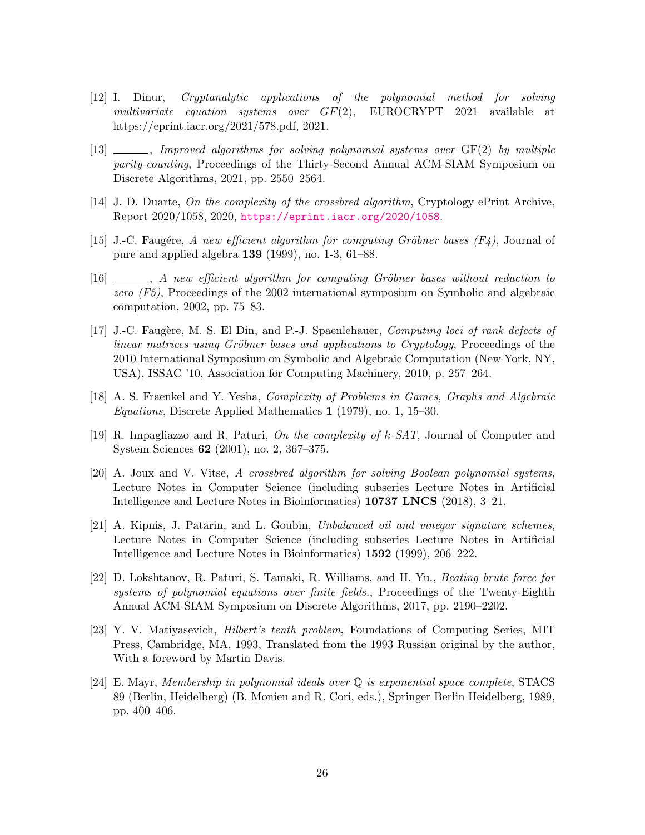- [12] I. Dinur, Cryptanalytic applications of the polynomial method for solving multivariate equation systems over  $GF(2)$ , EUROCRYPT 2021 available at https://eprint.iacr.org/2021/578.pdf, 2021.
- $[13]$  , Improved algorithms for solving polynomial systems over  $GF(2)$  by multiple parity-counting, Proceedings of the Thirty-Second Annual ACM-SIAM Symposium on Discrete Algorithms, 2021, pp. 2550–2564.
- [14] J. D. Duarte, On the complexity of the crossbred algorithm, Cryptology ePrint Archive, Report 2020/1058, 2020, <https://eprint.iacr.org/2020/1058>.
- [15] J.-C. Faugére, A new efficient algorithm for computing Gröbner bases  $(F4)$ , Journal of pure and applied algebra 139 (1999), no. 1-3, 61–88.
- $[16]$  , A new efficient algorithm for computing Gröbner bases without reduction to zero (F5), Proceedings of the 2002 international symposium on Symbolic and algebraic computation, 2002, pp. 75–83.
- [17] J.-C. Faugère, M. S. El Din, and P.-J. Spaenlehauer, *Computing loci of rank defects of* linear matrices using Gröbner bases and applications to Cryptology, Proceedings of the 2010 International Symposium on Symbolic and Algebraic Computation (New York, NY, USA), ISSAC '10, Association for Computing Machinery, 2010, p. 257–264.
- [18] A. S. Fraenkel and Y. Yesha, Complexity of Problems in Games, Graphs and Algebraic Equations, Discrete Applied Mathematics 1 (1979), no. 1, 15–30.
- [19] R. Impagliazzo and R. Paturi, On the complexity of k-SAT, Journal of Computer and System Sciences 62 (2001), no. 2, 367–375.
- [20] A. Joux and V. Vitse, A crossbred algorithm for solving Boolean polynomial systems, Lecture Notes in Computer Science (including subseries Lecture Notes in Artificial Intelligence and Lecture Notes in Bioinformatics) 10737 LNCS (2018), 3–21.
- [21] A. Kipnis, J. Patarin, and L. Goubin, Unbalanced oil and vinegar signature schemes, Lecture Notes in Computer Science (including subseries Lecture Notes in Artificial Intelligence and Lecture Notes in Bioinformatics) 1592 (1999), 206–222.
- [22] D. Lokshtanov, R. Paturi, S. Tamaki, R. Williams, and H. Yu., Beating brute force for systems of polynomial equations over finite fields., Proceedings of the Twenty-Eighth Annual ACM-SIAM Symposium on Discrete Algorithms, 2017, pp. 2190–2202.
- [23] Y. V. Matiyasevich, Hilbert's tenth problem, Foundations of Computing Series, MIT Press, Cambridge, MA, 1993, Translated from the 1993 Russian original by the author, With a foreword by Martin Davis.
- [24] E. Mayr, Membership in polynomial ideals over Q is exponential space complete, STACS 89 (Berlin, Heidelberg) (B. Monien and R. Cori, eds.), Springer Berlin Heidelberg, 1989, pp. 400–406.